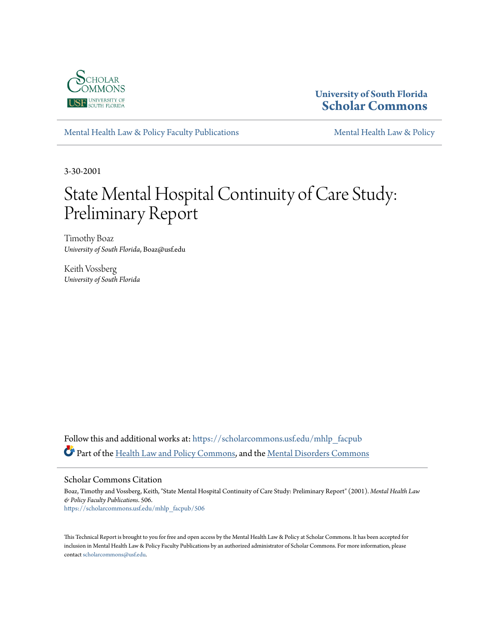

### **University of South Florida [Scholar Commons](https://scholarcommons.usf.edu?utm_source=scholarcommons.usf.edu%2Fmhlp_facpub%2F506&utm_medium=PDF&utm_campaign=PDFCoverPages)**

[Mental Health Law & Policy Faculty Publications](https://scholarcommons.usf.edu/mhlp_facpub?utm_source=scholarcommons.usf.edu%2Fmhlp_facpub%2F506&utm_medium=PDF&utm_campaign=PDFCoverPages) [Mental Health Law & Policy](https://scholarcommons.usf.edu/mhlp?utm_source=scholarcommons.usf.edu%2Fmhlp_facpub%2F506&utm_medium=PDF&utm_campaign=PDFCoverPages)

3-30-2001

# State Mental Hospital Continuity of Care Study: Preliminary Report

Timothy Boaz *University of South Florida*, Boaz@usf.edu

Keith Vossberg *University of South Florida*

Follow this and additional works at: [https://scholarcommons.usf.edu/mhlp\\_facpub](https://scholarcommons.usf.edu/mhlp_facpub?utm_source=scholarcommons.usf.edu%2Fmhlp_facpub%2F506&utm_medium=PDF&utm_campaign=PDFCoverPages) Part of the [Health Law and Policy Commons](http://network.bepress.com/hgg/discipline/901?utm_source=scholarcommons.usf.edu%2Fmhlp_facpub%2F506&utm_medium=PDF&utm_campaign=PDFCoverPages), and the [Mental Disorders Commons](http://network.bepress.com/hgg/discipline/968?utm_source=scholarcommons.usf.edu%2Fmhlp_facpub%2F506&utm_medium=PDF&utm_campaign=PDFCoverPages)

#### Scholar Commons Citation

Boaz, Timothy and Vossberg, Keith, "State Mental Hospital Continuity of Care Study: Preliminary Report" (2001). *Mental Health Law & Policy Faculty Publications*. 506. [https://scholarcommons.usf.edu/mhlp\\_facpub/506](https://scholarcommons.usf.edu/mhlp_facpub/506?utm_source=scholarcommons.usf.edu%2Fmhlp_facpub%2F506&utm_medium=PDF&utm_campaign=PDFCoverPages)

This Technical Report is brought to you for free and open access by the Mental Health Law & Policy at Scholar Commons. It has been accepted for inclusion in Mental Health Law & Policy Faculty Publications by an authorized administrator of Scholar Commons. For more information, please contact [scholarcommons@usf.edu.](mailto:scholarcommons@usf.edu)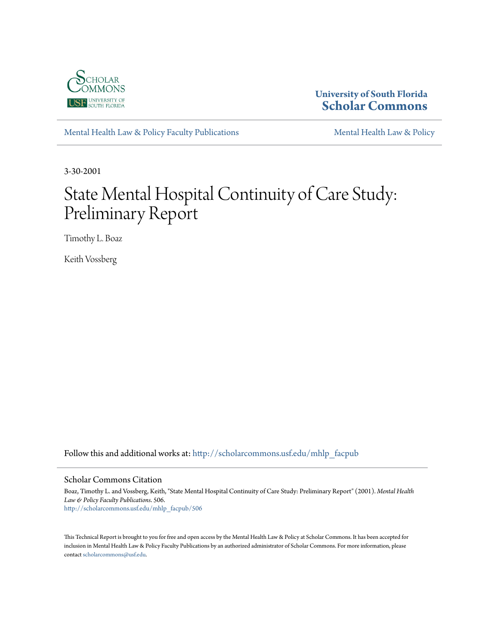

# **University of South Florida [Scholar Commons](http://scholarcommons.usf.edu?utm_source=scholarcommons.usf.edu%2Fmhlp_facpub%2F506&utm_medium=PDF&utm_campaign=PDFCoverPages)**

[Mental Health Law & Policy Faculty Publications](http://scholarcommons.usf.edu/mhlp_facpub?utm_source=scholarcommons.usf.edu%2Fmhlp_facpub%2F506&utm_medium=PDF&utm_campaign=PDFCoverPages) [Mental Health Law & Policy](http://scholarcommons.usf.edu/mhlp?utm_source=scholarcommons.usf.edu%2Fmhlp_facpub%2F506&utm_medium=PDF&utm_campaign=PDFCoverPages)

3-30-2001

# State Mental Hospital Continuity of Care Study: Preliminary Report

Timothy L. Boaz

Keith Vossberg

Follow this and additional works at: [http://scholarcommons.usf.edu/mhlp\\_facpub](http://scholarcommons.usf.edu/mhlp_facpub?utm_source=scholarcommons.usf.edu%2Fmhlp_facpub%2F506&utm_medium=PDF&utm_campaign=PDFCoverPages)

#### Scholar Commons Citation

Boaz, Timothy L. and Vossberg, Keith, "State Mental Hospital Continuity of Care Study: Preliminary Report" (2001). *Mental Health Law & Policy Faculty Publications*. 506. [http://scholarcommons.usf.edu/mhlp\\_facpub/506](http://scholarcommons.usf.edu/mhlp_facpub/506?utm_source=scholarcommons.usf.edu%2Fmhlp_facpub%2F506&utm_medium=PDF&utm_campaign=PDFCoverPages)

This Technical Report is brought to you for free and open access by the Mental Health Law & Policy at Scholar Commons. It has been accepted for inclusion in Mental Health Law & Policy Faculty Publications by an authorized administrator of Scholar Commons. For more information, please contact [scholarcommons@usf.edu.](mailto:scholarcommons@usf.edu)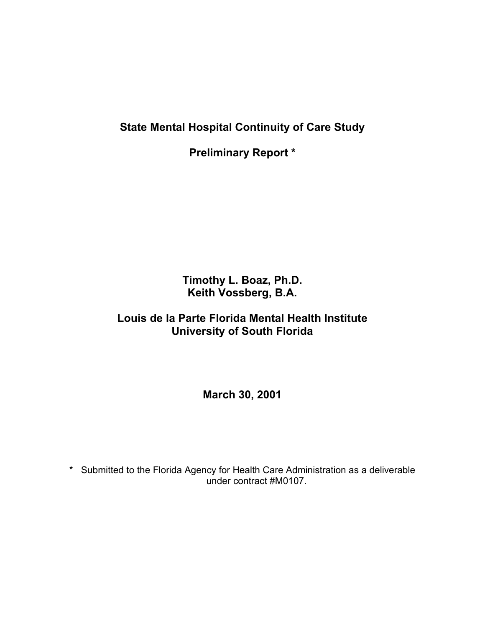**State Mental Hospital Continuity of Care Study** 

**Preliminary Report \*** 

**Timothy L. Boaz, Ph.D. Keith Vossberg, B.A.** 

# **Louis de la Parte Florida Mental Health Institute University of South Florida**

**March 30, 2001** 

\* Submitted to the Florida Agency for Health Care Administration as a deliverable under contract #M0107.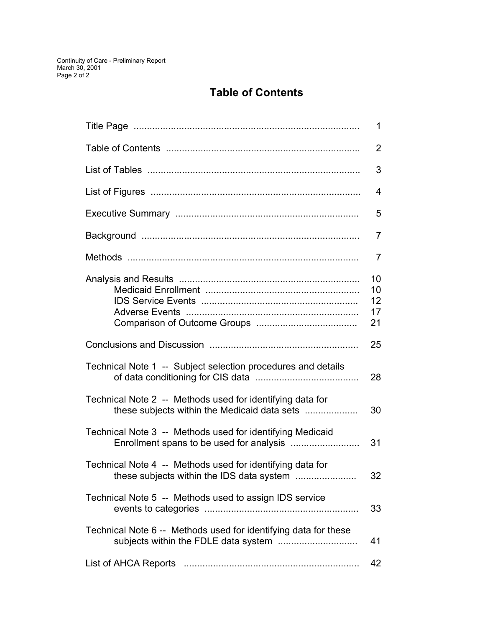# **Table of Contents**

|                                                                                                           | $\mathbf 1$                |
|-----------------------------------------------------------------------------------------------------------|----------------------------|
|                                                                                                           | $\overline{2}$             |
|                                                                                                           | 3                          |
|                                                                                                           | $\overline{4}$             |
|                                                                                                           | 5                          |
|                                                                                                           | $\overline{7}$             |
|                                                                                                           | $\overline{7}$             |
|                                                                                                           | 10<br>10<br>12<br>17<br>21 |
|                                                                                                           | 25                         |
| Technical Note 1 -- Subject selection procedures and details                                              | 28                         |
| Technical Note 2 -- Methods used for identifying data for<br>these subjects within the Medicaid data sets | 30                         |
| Technical Note 3 -- Methods used for identifying Medicaid                                                 | 31                         |
| Technical Note 4 -- Methods used for identifying data for<br>these subjects within the IDS data system    | 32                         |
| Technical Note 5 -- Methods used to assign IDS service                                                    | 33                         |
| Technical Note 6 -- Methods used for identifying data for these                                           | 41                         |
|                                                                                                           | 42                         |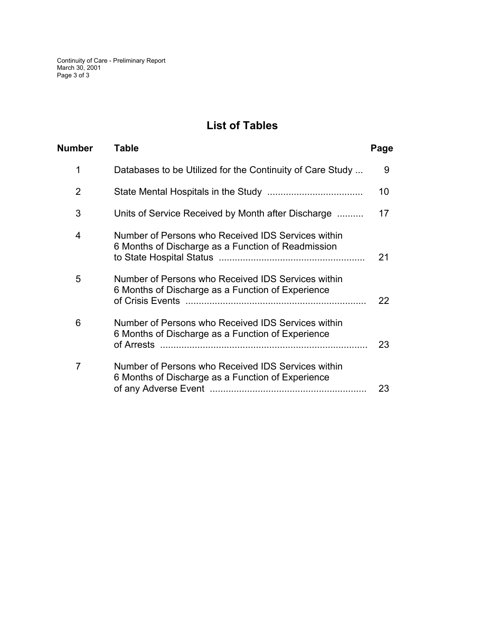Continuity of Care - Preliminary Report March 30, 2001 Page 3 of 3

# **List of Tables**

| Number         | Table                                                                                                    | Page |
|----------------|----------------------------------------------------------------------------------------------------------|------|
| 1              | Databases to be Utilized for the Continuity of Care Study                                                | 9    |
| $\overline{2}$ |                                                                                                          | 10   |
| 3              | Units of Service Received by Month after Discharge                                                       | 17   |
| $\overline{4}$ | Number of Persons who Received IDS Services within<br>6 Months of Discharge as a Function of Readmission | 21   |
| 5              | Number of Persons who Received IDS Services within<br>6 Months of Discharge as a Function of Experience  | 22   |
| 6              | Number of Persons who Received IDS Services within<br>6 Months of Discharge as a Function of Experience  | 23   |
| $\overline{7}$ | Number of Persons who Received IDS Services within<br>6 Months of Discharge as a Function of Experience  | 23   |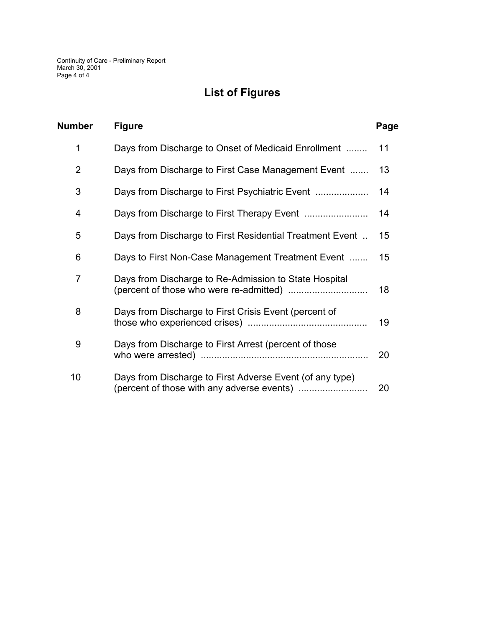# **List of Figures**

| <b>Number</b>  | <b>Figure</b>                                                                                          | Page |
|----------------|--------------------------------------------------------------------------------------------------------|------|
| 1              | Days from Discharge to Onset of Medicaid Enrollment                                                    | 11   |
| $\overline{2}$ | Days from Discharge to First Case Management Event                                                     | 13   |
| 3              | Days from Discharge to First Psychiatric Event                                                         | 14   |
| 4              |                                                                                                        | 14   |
| 5              | Days from Discharge to First Residential Treatment Event                                               | 15   |
| 6              | Days to First Non-Case Management Treatment Event                                                      | 15   |
| $\overline{7}$ | Days from Discharge to Re-Admission to State Hospital                                                  | 18   |
| 8              | Days from Discharge to First Crisis Event (percent of                                                  | 19   |
| 9              | Days from Discharge to First Arrest (percent of those                                                  | 20   |
| 10             | Days from Discharge to First Adverse Event (of any type)<br>(percent of those with any adverse events) | 20   |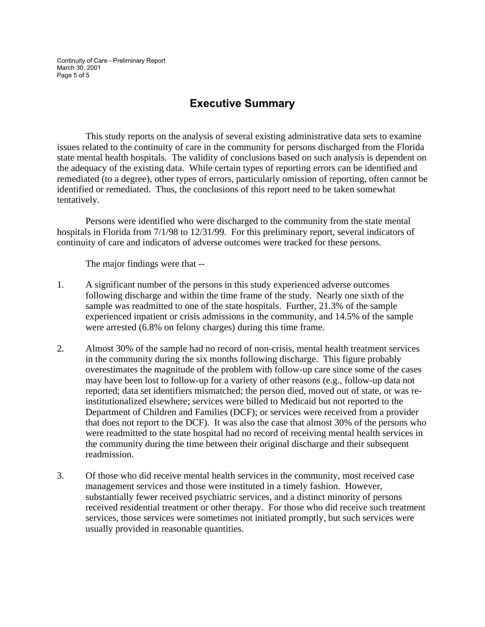Continuity of Care - Preliminary Report March 30, 2001 Page 5 of 5

# **Executive Summary**

 This study reports on the analysis of several existing administrative data sets to examine issues related to the continuity of care in the community for persons discharged from the Florida state mental health hospitals. The validity of conclusions based on such analysis is dependent on the adequacy of the existing data. While certain types of reporting errors can be identified and remediated (to a degree), other types of errors, particularly omission of reporting, often cannot be identified or remediated. Thus, the conclusions of this report need to be taken somewhat tentatively.

 Persons were identified who were discharged to the community from the state mental hospitals in Florida from 7/1/98 to 12/31/99. For this preliminary report, several indicators of continuity of care and indicators of adverse outcomes were tracked for these persons.

The major findings were that --

- 1. A significant number of the persons in this study experienced adverse outcomes following discharge and within the time frame of the study. Nearly one sixth of the sample was readmitted to one of the state hospitals. Further, 21.3% of the sample experienced inpatient or crisis admissions in the community, and 14.5% of the sample were arrested (6.8% on felony charges) during this time frame.
- 2. Almost 30% of the sample had no record of non-crisis, mental health treatment services in the community during the six months following discharge. This figure probably overestimates the magnitude of the problem with follow-up care since some of the cases may have been lost to follow-up for a variety of other reasons (e.g., follow-up data not reported; data set identifiers mismatched; the person died, moved out of state, or was reinstitutionalized elsewhere; services were billed to Medicaid but not reported to the Department of Children and Families (DCF); or services were received from a provider that does not report to the DCF). It was also the case that almost 30% of the persons who were readmitted to the state hospital had no record of receiving mental health services in the community during the time between their original discharge and their subsequent readmission.
- 3. Of those who did receive mental health services in the community, most received case management services and those were instituted in a timely fashion. However, substantially fewer received psychiatric services, and a distinct minority of persons received residential treatment or other therapy. For those who did receive such treatment services, those services were sometimes not initiated promptly, but such services were usually provided in reasonable quantities.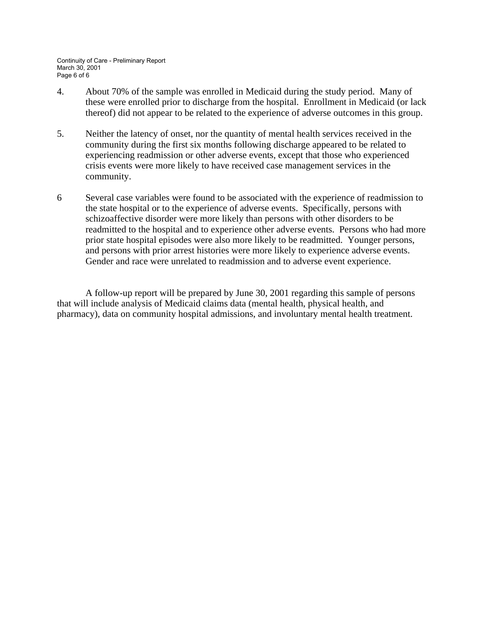Continuity of Care - Preliminary Report March 30, 2001 Page 6 of 6

- 4. About 70% of the sample was enrolled in Medicaid during the study period. Many of these were enrolled prior to discharge from the hospital. Enrollment in Medicaid (or lack thereof) did not appear to be related to the experience of adverse outcomes in this group.
- 5. Neither the latency of onset, nor the quantity of mental health services received in the community during the first six months following discharge appeared to be related to experiencing readmission or other adverse events, except that those who experienced crisis events were more likely to have received case management services in the community.
- 6 Several case variables were found to be associated with the experience of readmission to the state hospital or to the experience of adverse events. Specifically, persons with schizoaffective disorder were more likely than persons with other disorders to be readmitted to the hospital and to experience other adverse events. Persons who had more prior state hospital episodes were also more likely to be readmitted. Younger persons, and persons with prior arrest histories were more likely to experience adverse events. Gender and race were unrelated to readmission and to adverse event experience.

 A follow-up report will be prepared by June 30, 2001 regarding this sample of persons that will include analysis of Medicaid claims data (mental health, physical health, and pharmacy), data on community hospital admissions, and involuntary mental health treatment.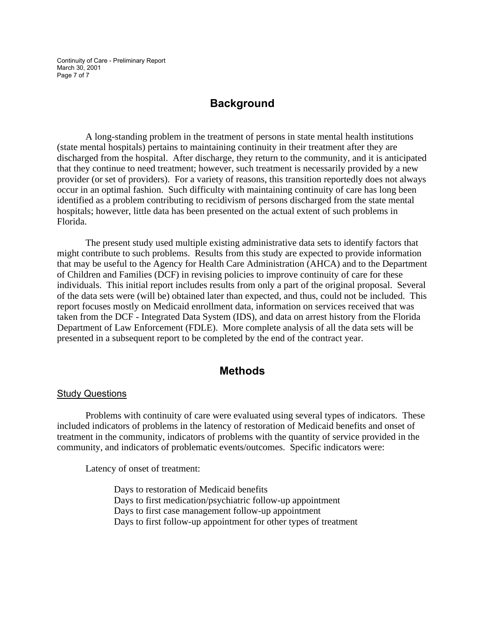Continuity of Care - Preliminary Report March 30, 2001 Page 7 of 7

### **Background**

A long-standing problem in the treatment of persons in state mental health institutions (state mental hospitals) pertains to maintaining continuity in their treatment after they are discharged from the hospital. After discharge, they return to the community, and it is anticipated that they continue to need treatment; however, such treatment is necessarily provided by a new provider (or set of providers). For a variety of reasons, this transition reportedly does not always occur in an optimal fashion. Such difficulty with maintaining continuity of care has long been identified as a problem contributing to recidivism of persons discharged from the state mental hospitals; however, little data has been presented on the actual extent of such problems in Florida.

 The present study used multiple existing administrative data sets to identify factors that might contribute to such problems. Results from this study are expected to provide information that may be useful to the Agency for Health Care Administration (AHCA) and to the Department of Children and Families (DCF) in revising policies to improve continuity of care for these individuals. This initial report includes results from only a part of the original proposal. Several of the data sets were (will be) obtained later than expected, and thus, could not be included. This report focuses mostly on Medicaid enrollment data, information on services received that was taken from the DCF - Integrated Data System (IDS), and data on arrest history from the Florida Department of Law Enforcement (FDLE). More complete analysis of all the data sets will be presented in a subsequent report to be completed by the end of the contract year.

### **Methods**

#### Study Questions

Problems with continuity of care were evaluated using several types of indicators. These included indicators of problems in the latency of restoration of Medicaid benefits and onset of treatment in the community, indicators of problems with the quantity of service provided in the community, and indicators of problematic events/outcomes. Specific indicators were:

Latency of onset of treatment:

Days to restoration of Medicaid benefits Days to first medication/psychiatric follow-up appointment Days to first case management follow-up appointment Days to first follow-up appointment for other types of treatment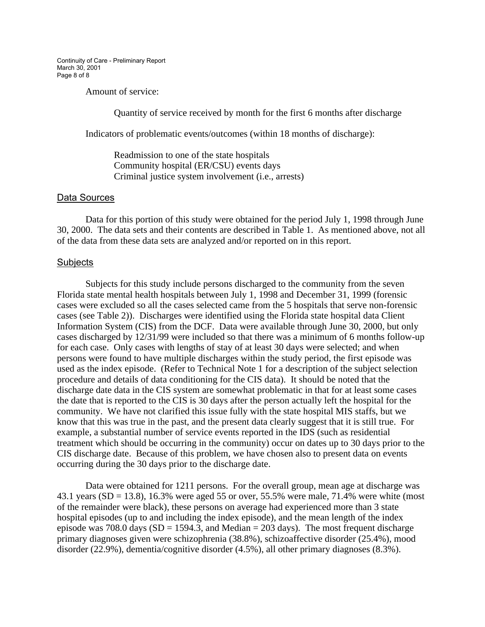Continuity of Care - Preliminary Report March 30, 2001 Page 8 of 8

Amount of service:

Quantity of service received by month for the first 6 months after discharge

Indicators of problematic events/outcomes (within 18 months of discharge):

Readmission to one of the state hospitals Community hospital (ER/CSU) events days Criminal justice system involvement (i.e., arrests)

#### Data Sources

Data for this portion of this study were obtained for the period July 1, 1998 through June 30, 2000. The data sets and their contents are described in Table 1. As mentioned above, not all of the data from these data sets are analyzed and/or reported on in this report.

#### Subjects

Subjects for this study include persons discharged to the community from the seven Florida state mental health hospitals between July 1, 1998 and December 31, 1999 (forensic cases were excluded so all the cases selected came from the 5 hospitals that serve non-forensic cases (see Table 2)). Discharges were identified using the Florida state hospital data Client Information System (CIS) from the DCF. Data were available through June 30, 2000, but only cases discharged by 12/31/99 were included so that there was a minimum of 6 months follow-up for each case. Only cases with lengths of stay of at least 30 days were selected; and when persons were found to have multiple discharges within the study period, the first episode was used as the index episode. (Refer to Technical Note 1 for a description of the subject selection procedure and details of data conditioning for the CIS data). It should be noted that the discharge date data in the CIS system are somewhat problematic in that for at least some cases the date that is reported to the CIS is 30 days after the person actually left the hospital for the community. We have not clarified this issue fully with the state hospital MIS staffs, but we know that this was true in the past, and the present data clearly suggest that it is still true. For example, a substantial number of service events reported in the IDS (such as residential treatment which should be occurring in the community) occur on dates up to 30 days prior to the CIS discharge date. Because of this problem, we have chosen also to present data on events occurring during the 30 days prior to the discharge date.

Data were obtained for 1211 persons. For the overall group, mean age at discharge was 43.1 years (SD = 13.8), 16.3% were aged 55 or over, 55.5% were male, 71.4% were white (most of the remainder were black), these persons on average had experienced more than 3 state hospital episodes (up to and including the index episode), and the mean length of the index episode was 708.0 days ( $SD = 1594.3$ , and Median = 203 days). The most frequent discharge primary diagnoses given were schizophrenia (38.8%), schizoaffective disorder (25.4%), mood disorder (22.9%), dementia/cognitive disorder (4.5%), all other primary diagnoses (8.3%).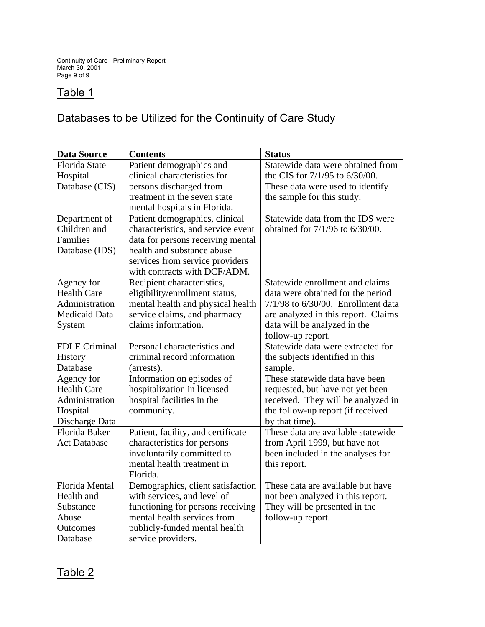# Table 1

# Databases to be Utilized for the Continuity of Care Study

| <b>Data Source</b>    | <b>Contents</b>                    | <b>Status</b>                           |
|-----------------------|------------------------------------|-----------------------------------------|
| Florida State         | Patient demographics and           | Statewide data were obtained from       |
| Hospital              | clinical characteristics for       | the CIS for 7/1/95 to 6/30/00.          |
| Database (CIS)        | persons discharged from            | These data were used to identify        |
|                       | treatment in the seven state       | the sample for this study.              |
|                       | mental hospitals in Florida.       |                                         |
| Department of         | Patient demographics, clinical     | Statewide data from the IDS were        |
| Children and          | characteristics, and service event | obtained for 7/1/96 to 6/30/00.         |
| Families              | data for persons receiving mental  |                                         |
| Database (IDS)        | health and substance abuse         |                                         |
|                       | services from service providers    |                                         |
|                       | with contracts with DCF/ADM.       |                                         |
| Agency for            | Recipient characteristics,         | Statewide enrollment and claims         |
| <b>Health Care</b>    | eligibility/enrollment status,     | data were obtained for the period       |
| Administration        | mental health and physical health  | $7/1/98$ to $6/30/00$ . Enrollment data |
| <b>Medicaid Data</b>  | service claims, and pharmacy       | are analyzed in this report. Claims     |
| System                | claims information.                | data will be analyzed in the            |
|                       |                                    | follow-up report.                       |
| <b>FDLE Criminal</b>  | Personal characteristics and       | Statewide data were extracted for       |
| History               | criminal record information        | the subjects identified in this         |
| Database              | (arrests).                         | sample.                                 |
| Agency for            | Information on episodes of         | These statewide data have been          |
| <b>Health Care</b>    | hospitalization in licensed        | requested, but have not yet been        |
| Administration        | hospital facilities in the         | received. They will be analyzed in      |
| Hospital              | community.                         | the follow-up report (if received       |
| Discharge Data        |                                    | by that time).                          |
| Florida Baker         | Patient, facility, and certificate | These data are available statewide      |
| <b>Act Database</b>   | characteristics for persons        | from April 1999, but have not           |
|                       | involuntarily committed to         | been included in the analyses for       |
|                       | mental health treatment in         | this report.                            |
|                       | Florida.                           |                                         |
| <b>Florida</b> Mental | Demographics, client satisfaction  | These data are available but have       |
| Health and            | with services, and level of        | not been analyzed in this report.       |
| Substance             | functioning for persons receiving  | They will be presented in the           |
| Abuse                 | mental health services from        | follow-up report.                       |
| Outcomes              | publicly-funded mental health      |                                         |
| Database              | service providers.                 |                                         |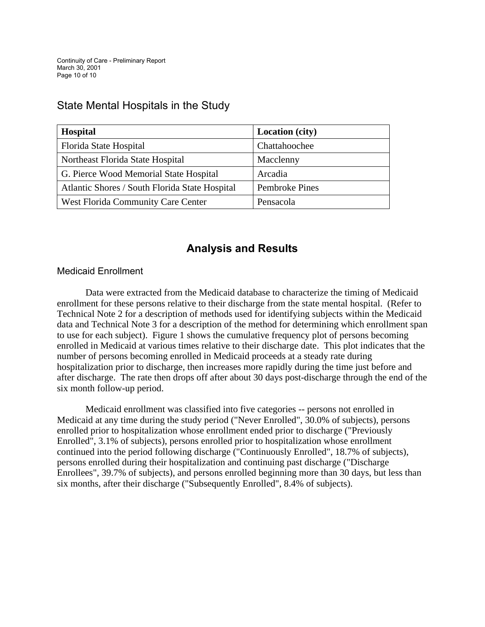# State Mental Hospitals in the Study

| <b>Hospital</b>                                | <b>Location</b> (city) |
|------------------------------------------------|------------------------|
| Florida State Hospital                         | Chattahoochee          |
| Northeast Florida State Hospital               | Macclenny              |
| G. Pierce Wood Memorial State Hospital         | Arcadia                |
| Atlantic Shores / South Florida State Hospital | Pembroke Pines         |
| West Florida Community Care Center             | Pensacola              |

# **Analysis and Results**

### Medicaid Enrollment

Data were extracted from the Medicaid database to characterize the timing of Medicaid enrollment for these persons relative to their discharge from the state mental hospital. (Refer to Technical Note 2 for a description of methods used for identifying subjects within the Medicaid data and Technical Note 3 for a description of the method for determining which enrollment span to use for each subject). Figure 1 shows the cumulative frequency plot of persons becoming enrolled in Medicaid at various times relative to their discharge date. This plot indicates that the number of persons becoming enrolled in Medicaid proceeds at a steady rate during hospitalization prior to discharge, then increases more rapidly during the time just before and after discharge. The rate then drops off after about 30 days post-discharge through the end of the six month follow-up period.

 Medicaid enrollment was classified into five categories -- persons not enrolled in Medicaid at any time during the study period ("Never Enrolled", 30.0% of subjects), persons enrolled prior to hospitalization whose enrollment ended prior to discharge ("Previously Enrolled", 3.1% of subjects), persons enrolled prior to hospitalization whose enrollment continued into the period following discharge ("Continuously Enrolled", 18.7% of subjects), persons enrolled during their hospitalization and continuing past discharge ("Discharge Enrollees", 39.7% of subjects), and persons enrolled beginning more than 30 days, but less than six months, after their discharge ("Subsequently Enrolled", 8.4% of subjects).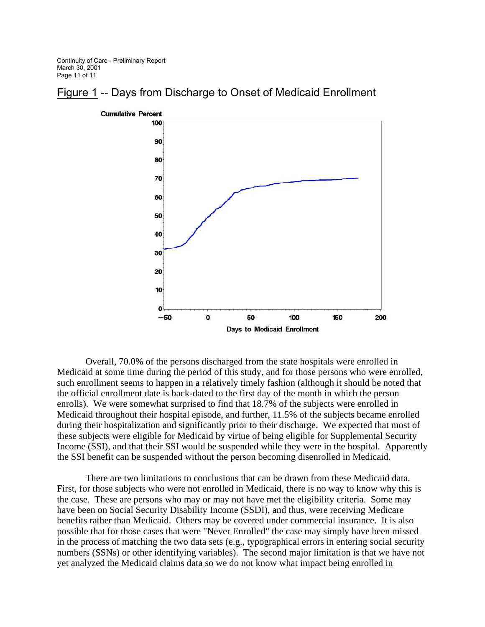Continuity of Care - Preliminary Report March 30, 2001 Page 11 of 11



### Figure 1 -- Days from Discharge to Onset of Medicaid Enrollment

Overall, 70.0% of the persons discharged from the state hospitals were enrolled in Medicaid at some time during the period of this study, and for those persons who were enrolled, such enrollment seems to happen in a relatively timely fashion (although it should be noted that the official enrollment date is back-dated to the first day of the month in which the person enrolls). We were somewhat surprised to find that 18.7% of the subjects were enrolled in Medicaid throughout their hospital episode, and further, 11.5% of the subjects became enrolled during their hospitalization and significantly prior to their discharge. We expected that most of these subjects were eligible for Medicaid by virtue of being eligible for Supplemental Security Income (SSI), and that their SSI would be suspended while they were in the hospital. Apparently the SSI benefit can be suspended without the person becoming disenrolled in Medicaid.

There are two limitations to conclusions that can be drawn from these Medicaid data. First, for those subjects who were not enrolled in Medicaid, there is no way to know why this is the case. These are persons who may or may not have met the eligibility criteria. Some may have been on Social Security Disability Income (SSDI), and thus, were receiving Medicare benefits rather than Medicaid. Others may be covered under commercial insurance. It is also possible that for those cases that were "Never Enrolled" the case may simply have been missed in the process of matching the two data sets (e.g., typographical errors in entering social security numbers (SSNs) or other identifying variables). The second major limitation is that we have not yet analyzed the Medicaid claims data so we do not know what impact being enrolled in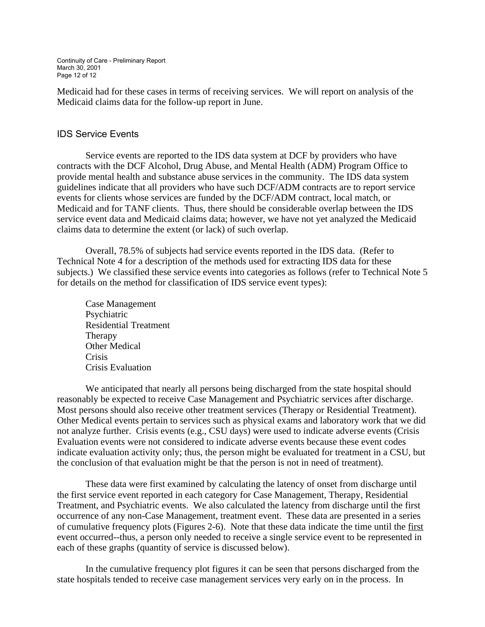Continuity of Care - Preliminary Report March 30, 2001 Page 12 of 12

Medicaid had for these cases in terms of receiving services. We will report on analysis of the Medicaid claims data for the follow-up report in June.

#### IDS Service Events

 Service events are reported to the IDS data system at DCF by providers who have contracts with the DCF Alcohol, Drug Abuse, and Mental Health (ADM) Program Office to provide mental health and substance abuse services in the community. The IDS data system guidelines indicate that all providers who have such DCF/ADM contracts are to report service events for clients whose services are funded by the DCF/ADM contract, local match, or Medicaid and for TANF clients. Thus, there should be considerable overlap between the IDS service event data and Medicaid claims data; however, we have not yet analyzed the Medicaid claims data to determine the extent (or lack) of such overlap.

 Overall, 78.5% of subjects had service events reported in the IDS data. (Refer to Technical Note 4 for a description of the methods used for extracting IDS data for these subjects.) We classified these service events into categories as follows (refer to Technical Note 5 for details on the method for classification of IDS service event types):

 Case Management Psychiatric Residential Treatment Therapy Other Medical Crisis Crisis Evaluation

 We anticipated that nearly all persons being discharged from the state hospital should reasonably be expected to receive Case Management and Psychiatric services after discharge. Most persons should also receive other treatment services (Therapy or Residential Treatment). Other Medical events pertain to services such as physical exams and laboratory work that we did not analyze further. Crisis events (e.g., CSU days) were used to indicate adverse events (Crisis Evaluation events were not considered to indicate adverse events because these event codes indicate evaluation activity only; thus, the person might be evaluated for treatment in a CSU, but the conclusion of that evaluation might be that the person is not in need of treatment).

 These data were first examined by calculating the latency of onset from discharge until the first service event reported in each category for Case Management, Therapy, Residential Treatment, and Psychiatric events. We also calculated the latency from discharge until the first occurrence of any non-Case Management, treatment event. These data are presented in a series of cumulative frequency plots (Figures 2-6). Note that these data indicate the time until the first event occurred--thus, a person only needed to receive a single service event to be represented in each of these graphs (quantity of service is discussed below).

 In the cumulative frequency plot figures it can be seen that persons discharged from the state hospitals tended to receive case management services very early on in the process. In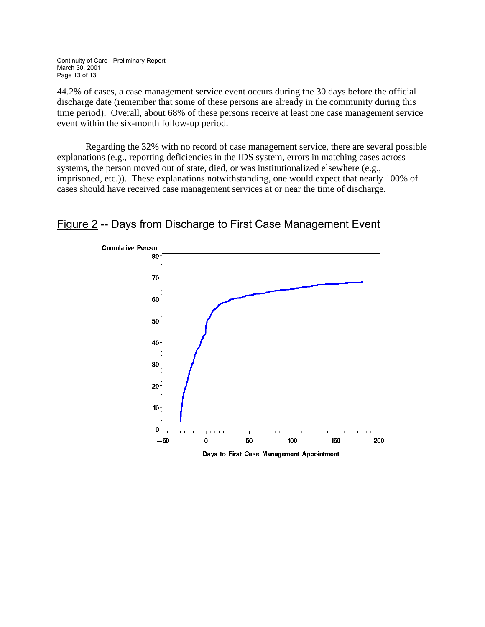Continuity of Care - Preliminary Report March 30, 2001 Page 13 of 13

44.2% of cases, a case management service event occurs during the 30 days before the official discharge date (remember that some of these persons are already in the community during this time period). Overall, about 68% of these persons receive at least one case management service event within the six-month follow-up period.

Regarding the 32% with no record of case management service, there are several possible explanations (e.g., reporting deficiencies in the IDS system, errors in matching cases across systems, the person moved out of state, died, or was institutionalized elsewhere (e.g., imprisoned, etc.)). These explanations notwithstanding, one would expect that nearly 100% of cases should have received case management services at or near the time of discharge.



# Figure 2 -- Days from Discharge to First Case Management Event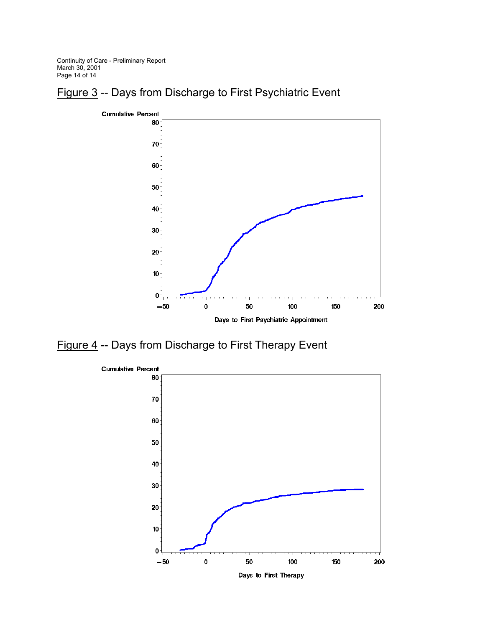Continuity of Care - Preliminary Report March 30, 2001 Page 14 of 14





Figure 4 -- Days from Discharge to First Therapy Event

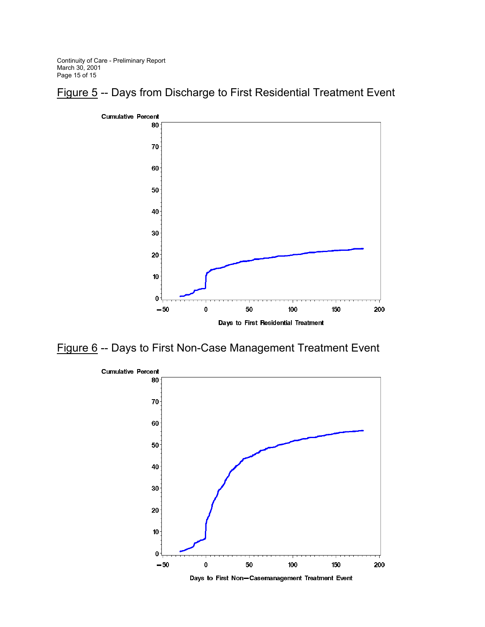Continuity of Care - Preliminary Report March 30, 2001 Page 15 of 15





Figure 6 -- Days to First Non-Case Management Treatment Event

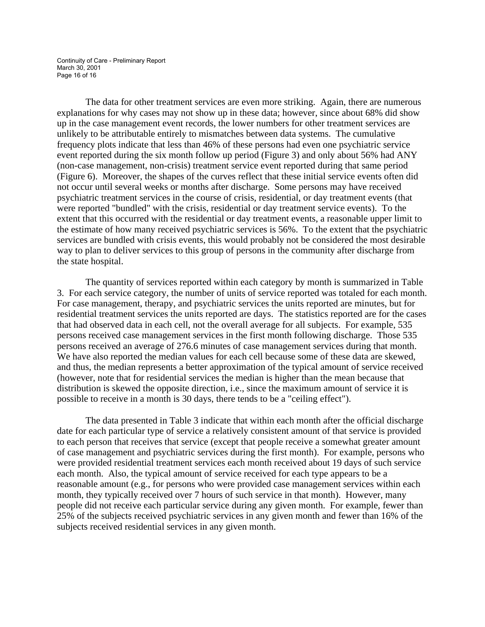Continuity of Care - Preliminary Report March 30, 2001 Page 16 of 16

 The data for other treatment services are even more striking. Again, there are numerous explanations for why cases may not show up in these data; however, since about 68% did show up in the case management event records, the lower numbers for other treatment services are unlikely to be attributable entirely to mismatches between data systems. The cumulative frequency plots indicate that less than 46% of these persons had even one psychiatric service event reported during the six month follow up period (Figure 3) and only about 56% had ANY (non-case management, non-crisis) treatment service event reported during that same period (Figure 6). Moreover, the shapes of the curves reflect that these initial service events often did not occur until several weeks or months after discharge. Some persons may have received psychiatric treatment services in the course of crisis, residential, or day treatment events (that were reported "bundled" with the crisis, residential or day treatment service events). To the extent that this occurred with the residential or day treatment events, a reasonable upper limit to the estimate of how many received psychiatric services is 56%. To the extent that the psychiatric services are bundled with crisis events, this would probably not be considered the most desirable way to plan to deliver services to this group of persons in the community after discharge from the state hospital.

 The quantity of services reported within each category by month is summarized in Table 3. For each service category, the number of units of service reported was totaled for each month. For case management, therapy, and psychiatric services the units reported are minutes, but for residential treatment services the units reported are days. The statistics reported are for the cases that had observed data in each cell, not the overall average for all subjects. For example, 535 persons received case management services in the first month following discharge. Those 535 persons received an average of 276.6 minutes of case management services during that month. We have also reported the median values for each cell because some of these data are skewed, and thus, the median represents a better approximation of the typical amount of service received (however, note that for residential services the median is higher than the mean because that distribution is skewed the opposite direction, i.e., since the maximum amount of service it is possible to receive in a month is 30 days, there tends to be a "ceiling effect").

The data presented in Table 3 indicate that within each month after the official discharge date for each particular type of service a relatively consistent amount of that service is provided to each person that receives that service (except that people receive a somewhat greater amount of case management and psychiatric services during the first month). For example, persons who were provided residential treatment services each month received about 19 days of such service each month. Also, the typical amount of service received for each type appears to be a reasonable amount (e.g., for persons who were provided case management services within each month, they typically received over 7 hours of such service in that month). However, many people did not receive each particular service during any given month. For example, fewer than 25% of the subjects received psychiatric services in any given month and fewer than 16% of the subjects received residential services in any given month.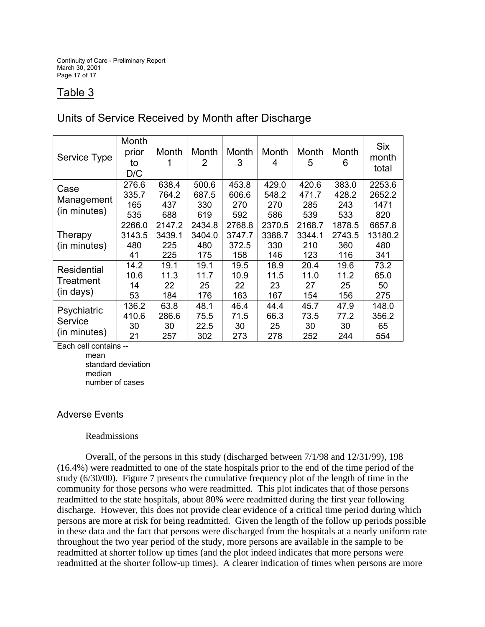Continuity of Care - Preliminary Report March 30, 2001 Page 17 of 17

# Table 3

### Units of Service Received by Month after Discharge

| Service Type                           | Month<br>prior<br>to<br>D/C   | Month                          | Month<br>2                     | Month<br>3                       | Month<br>4                     | Month<br>5                     | Month<br>6                     | Six<br>month<br>total           |
|----------------------------------------|-------------------------------|--------------------------------|--------------------------------|----------------------------------|--------------------------------|--------------------------------|--------------------------------|---------------------------------|
| Case<br>Management<br>(in minutes)     | 276.6<br>335.7<br>165<br>535  | 638.4<br>764.2<br>437<br>688   | 500.6<br>687.5<br>330<br>619   | 453.8<br>606.6<br>270<br>592     | 429.0<br>548.2<br>270<br>586   | 420.6<br>471.7<br>285<br>539   | 383.0<br>428.2<br>243<br>533   | 2253.6<br>2652.2<br>1471<br>820 |
| Therapy<br>(in minutes)                | 2266.0<br>3143.5<br>480<br>41 | 2147.2<br>3439.1<br>225<br>225 | 2434.8<br>3404.0<br>480<br>175 | 2768.8<br>3747.7<br>372.5<br>158 | 2370.5<br>3388.7<br>330<br>146 | 2168.7<br>3344.1<br>210<br>123 | 1878.5<br>2743.5<br>360<br>116 | 6657.8<br>13180.2<br>480<br>341 |
| Residential<br>Treatment<br>(in days)  | 14.2<br>10.6<br>14<br>53      | 19.1<br>11.3<br>22<br>184      | 19.1<br>11.7<br>25<br>176      | 19.5<br>10.9<br>22<br>163        | 18.9<br>11.5<br>23<br>167      | 20.4<br>11.0<br>27<br>154      | 19.6<br>11.2<br>25<br>156      | 73.2<br>65.0<br>50<br>275       |
| Psychiatric<br>Service<br>(in minutes) | 136.2<br>410.6<br>30<br>21    | 63.8<br>286.6<br>30<br>257     | 48.1<br>75.5<br>22.5<br>302    | 46.4<br>71.5<br>30<br>273        | 44.4<br>66.3<br>25<br>278      | 45.7<br>73.5<br>30<br>252      | 47.9<br>77.2<br>30<br>244      | 148.0<br>356.2<br>65<br>554     |

Each cell contains --

 mean standard deviation median number of cases

### Adverse Events

#### Readmissions

 Overall, of the persons in this study (discharged between 7/1/98 and 12/31/99), 198 (16.4%) were readmitted to one of the state hospitals prior to the end of the time period of the study (6/30/00). Figure 7 presents the cumulative frequency plot of the length of time in the community for those persons who were readmitted. This plot indicates that of those persons readmitted to the state hospitals, about 80% were readmitted during the first year following discharge. However, this does not provide clear evidence of a critical time period during which persons are more at risk for being readmitted. Given the length of the follow up periods possible in these data and the fact that persons were discharged from the hospitals at a nearly uniform rate throughout the two year period of the study, more persons are available in the sample to be readmitted at shorter follow up times (and the plot indeed indicates that more persons were readmitted at the shorter follow-up times). A clearer indication of times when persons are more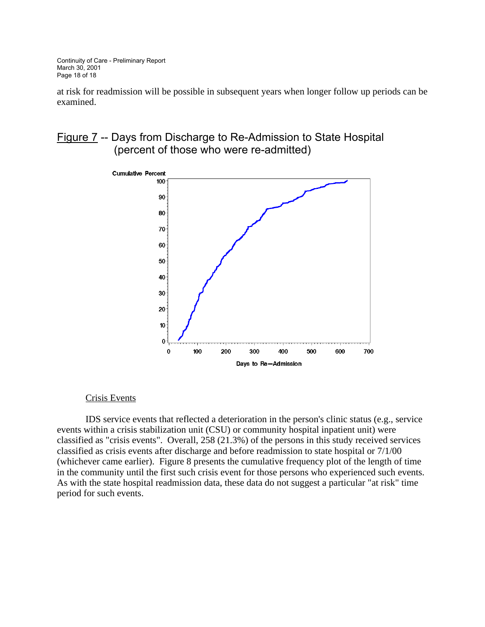Continuity of Care - Preliminary Report March 30, 2001 Page 18 of 18

at risk for readmission will be possible in subsequent years when longer follow up periods can be examined.

### Figure 7 -- Days from Discharge to Re-Admission to State Hospital (percent of those who were re-admitted)



#### Crisis Events

IDS service events that reflected a deterioration in the person's clinic status (e.g., service events within a crisis stabilization unit (CSU) or community hospital inpatient unit) were classified as "crisis events". Overall, 258 (21.3%) of the persons in this study received services classified as crisis events after discharge and before readmission to state hospital or 7/1/00 (whichever came earlier). Figure 8 presents the cumulative frequency plot of the length of time in the community until the first such crisis event for those persons who experienced such events. As with the state hospital readmission data, these data do not suggest a particular "at risk" time period for such events.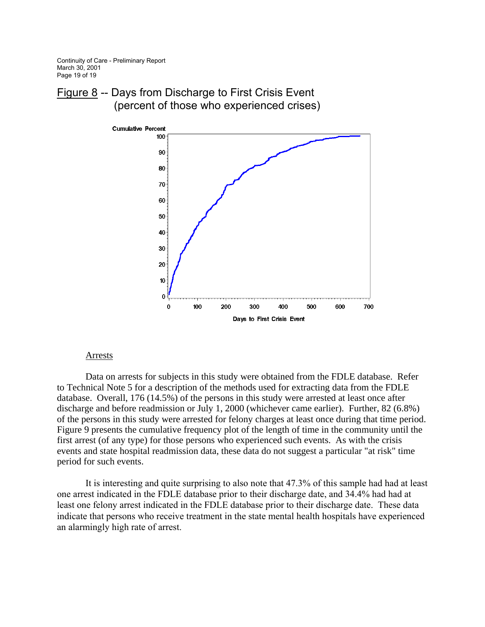Continuity of Care - Preliminary Report March 30, 2001 Page 19 of 19





#### **Arrests**

Data on arrests for subjects in this study were obtained from the FDLE database. Refer to Technical Note 5 for a description of the methods used for extracting data from the FDLE database. Overall, 176 (14.5%) of the persons in this study were arrested at least once after discharge and before readmission or July 1, 2000 (whichever came earlier). Further, 82 (6.8%) of the persons in this study were arrested for felony charges at least once during that time period. Figure 9 presents the cumulative frequency plot of the length of time in the community until the first arrest (of any type) for those persons who experienced such events. As with the crisis events and state hospital readmission data, these data do not suggest a particular "at risk" time period for such events.

It is interesting and quite surprising to also note that 47.3% of this sample had had at least one arrest indicated in the FDLE database prior to their discharge date, and 34.4% had had at least one felony arrest indicated in the FDLE database prior to their discharge date. These data indicate that persons who receive treatment in the state mental health hospitals have experienced an alarmingly high rate of arrest.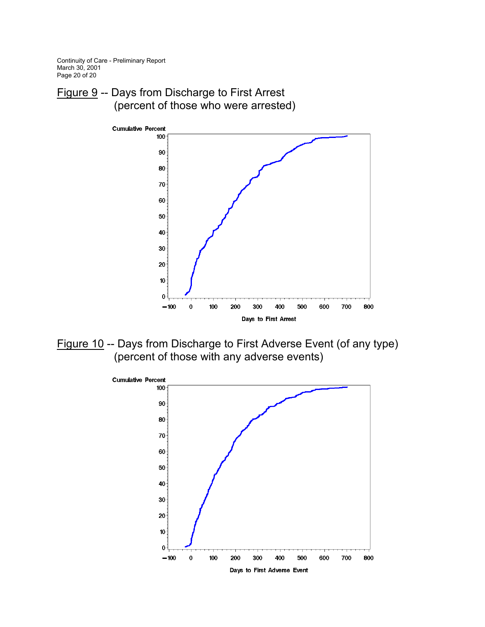Continuity of Care - Preliminary Report March 30, 2001 Page 20 of 20

Figure 9 -- Days from Discharge to First Arrest (percent of those who were arrested)



Figure 10 -- Days from Discharge to First Adverse Event (of any type) (percent of those with any adverse events)

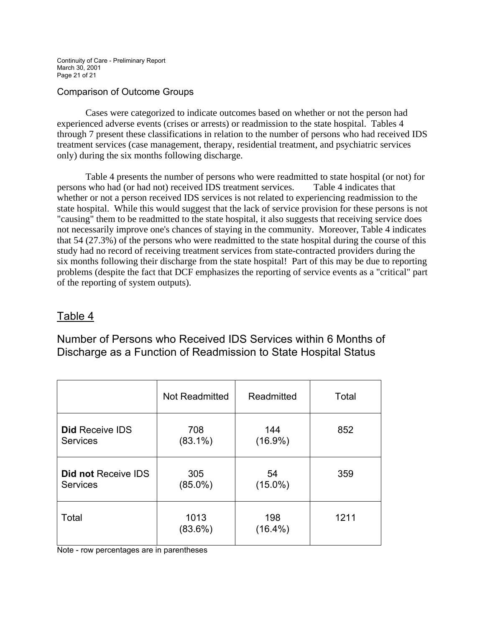Continuity of Care - Preliminary Report March 30, 2001 Page 21 of 21

### Comparison of Outcome Groups

 Cases were categorized to indicate outcomes based on whether or not the person had experienced adverse events (crises or arrests) or readmission to the state hospital. Tables 4 through 7 present these classifications in relation to the number of persons who had received IDS treatment services (case management, therapy, residential treatment, and psychiatric services only) during the six months following discharge.

 Table 4 presents the number of persons who were readmitted to state hospital (or not) for persons who had (or had not) received IDS treatment services. Table 4 indicates that whether or not a person received IDS services is not related to experiencing readmission to the state hospital. While this would suggest that the lack of service provision for these persons is not "causing" them to be readmitted to the state hospital, it also suggests that receiving service does not necessarily improve one's chances of staying in the community. Moreover, Table 4 indicates that 54 (27.3%) of the persons who were readmitted to the state hospital during the course of this study had no record of receiving treatment services from state-contracted providers during the six months following their discharge from the state hospital! Part of this may be due to reporting problems (despite the fact that DCF emphasizes the reporting of service events as a "critical" part of the reporting of system outputs).

# Table 4

Number of Persons who Received IDS Services within 6 Months of Discharge as a Function of Readmission to State Hospital Status

|                            | Not Readmitted     | Readmitted        | Total |
|----------------------------|--------------------|-------------------|-------|
| <b>Did Receive IDS</b>     | 708                | 144               | 852   |
| <b>Services</b>            | $(83.1\%)$         | $(16.9\%)$        |       |
| <b>Did not Receive IDS</b> | 305                | 54                | 359   |
| <b>Services</b>            | $(85.0\%)$         | $(15.0\%)$        |       |
| Total                      | 1013<br>$(83.6\%)$ | 198<br>$(16.4\%)$ | 1211  |

Note - row percentages are in parentheses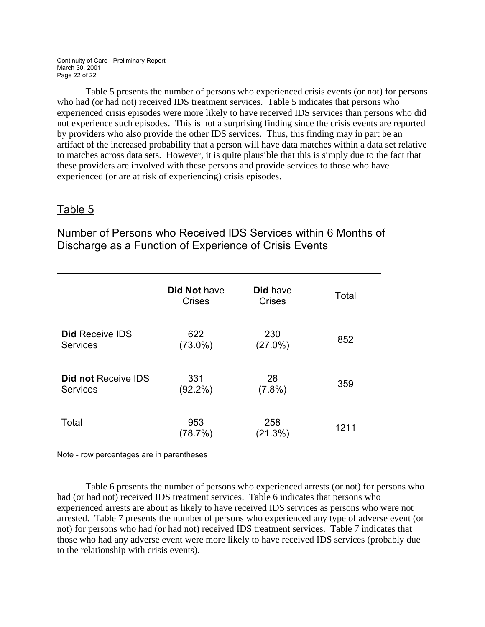Continuity of Care - Preliminary Report March 30, 2001 Page 22 of 22

 Table 5 presents the number of persons who experienced crisis events (or not) for persons who had (or had not) received IDS treatment services. Table 5 indicates that persons who experienced crisis episodes were more likely to have received IDS services than persons who did not experience such episodes. This is not a surprising finding since the crisis events are reported by providers who also provide the other IDS services. Thus, this finding may in part be an artifact of the increased probability that a person will have data matches within a data set relative to matches across data sets. However, it is quite plausible that this is simply due to the fact that these providers are involved with these persons and provide services to those who have experienced (or are at risk of experiencing) crisis episodes.

# Table 5

Number of Persons who Received IDS Services within 6 Months of Discharge as a Function of Experience of Crisis Events

|                        | <b>Did Not have</b><br><b>Crises</b> | <b>Did have</b><br><b>Crises</b> | Total |
|------------------------|--------------------------------------|----------------------------------|-------|
| <b>Did Receive IDS</b> | 622                                  | 230                              | 852   |
| <b>Services</b>        | $(73.0\%)$                           | $(27.0\%)$                       |       |
| Did not Receive IDS    | 331                                  | 28                               | 359   |
| <b>Services</b>        | $(92.2\%)$                           | $(7.8\%)$                        |       |
| Total                  | 953<br>(78.7%)                       | 258<br>(21.3%)                   | 1211  |

Note - row percentages are in parentheses

Table 6 presents the number of persons who experienced arrests (or not) for persons who had (or had not) received IDS treatment services. Table 6 indicates that persons who experienced arrests are about as likely to have received IDS services as persons who were not arrested. Table 7 presents the number of persons who experienced any type of adverse event (or not) for persons who had (or had not) received IDS treatment services. Table 7 indicates that those who had any adverse event were more likely to have received IDS services (probably due to the relationship with crisis events).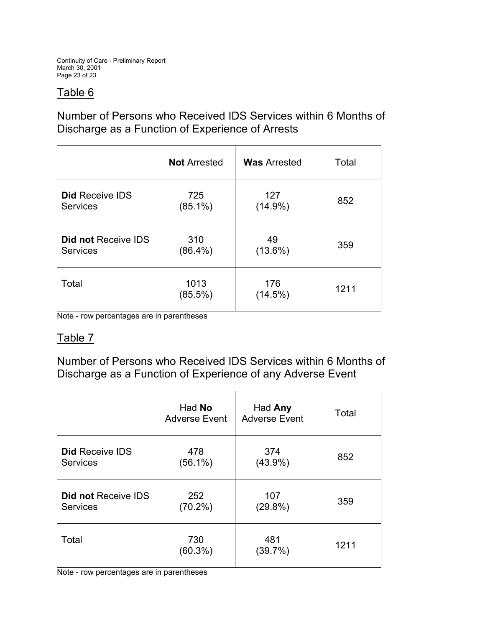Continuity of Care - Preliminary Report March 30, 2001 Page 23 of 23

# Table 6

# Number of Persons who Received IDS Services within 6 Months of Discharge as a Function of Experience of Arrests

|                        | <b>Not Arrested</b> | <b>Was Arrested</b> | Total |
|------------------------|---------------------|---------------------|-------|
| <b>Did Receive IDS</b> | 725                 | 127                 | 852   |
| <b>Services</b>        | $(85.1\%)$          | $(14.9\%)$          |       |
| Did not Receive IDS    | 310                 | 49                  | 359   |
| <b>Services</b>        | $(86.4\%)$          | $(13.6\%)$          |       |
| Total                  | 1013<br>$(85.5\%)$  | 176<br>(14.5%)      | 1211  |

Note - row percentages are in parentheses

# Table 7

Number of Persons who Received IDS Services within 6 Months of Discharge as a Function of Experience of any Adverse Event

|                            | Had No<br><b>Adverse Event</b> | Had Any<br><b>Adverse Event</b> | Total |
|----------------------------|--------------------------------|---------------------------------|-------|
| <b>Did Receive IDS</b>     | 478                            | 374                             | 852   |
| <b>Services</b>            | $(56.1\%)$                     | $(43.9\%)$                      |       |
| <b>Did not Receive IDS</b> | 252                            | 107                             | 359   |
| <b>Services</b>            | $(70.2\%)$                     | $(29.8\%)$                      |       |
| Total                      | 730<br>$(60.3\%)$              | 481<br>(39.7%)                  | 1211  |

Note - row percentages are in parentheses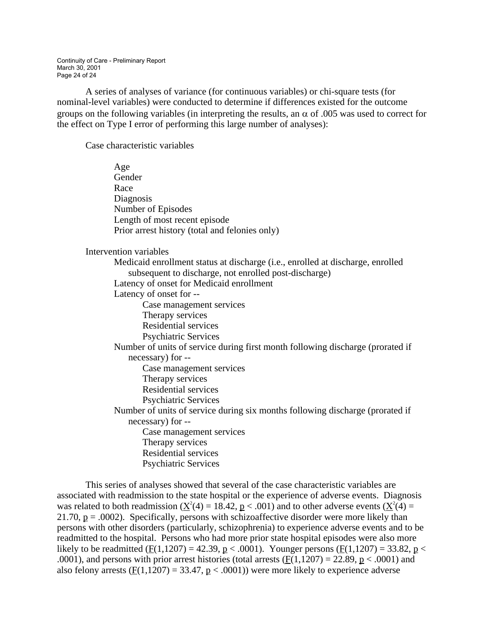Continuity of Care - Preliminary Report March 30, 2001 Page 24 of 24

 A series of analyses of variance (for continuous variables) or chi-square tests (for nominal-level variables) were conducted to determine if differences existed for the outcome groups on the following variables (in interpreting the results, an  $\alpha$  of .005 was used to correct for the effect on Type I error of performing this large number of analyses):

Case characteristic variables

| Age                                                                            |
|--------------------------------------------------------------------------------|
| Gender                                                                         |
| Race                                                                           |
| Diagnosis                                                                      |
| Number of Episodes                                                             |
| Length of most recent episode                                                  |
| Prior arrest history (total and felonies only)                                 |
| Intervention variables                                                         |
| Medicaid enrollment status at discharge (i.e., enrolled at discharge, enrolled |
| subsequent to discharge, not enrolled post-discharge)                          |
| Latency of onset for Medicaid enrollment                                       |
| Latency of onset for --                                                        |
| Case management services                                                       |
| Therapy services                                                               |
| <b>Residential services</b>                                                    |
| <b>Psychiatric Services</b>                                                    |
| Number of units of service during first month following discharge (prorated if |
| necessary) for --                                                              |
| Case management services                                                       |
| Therapy services                                                               |
| <b>Residential services</b>                                                    |
| <b>Psychiatric Services</b>                                                    |
| Number of units of service during six months following discharge (prorated if  |
| necessary) for --                                                              |
| Case management services                                                       |
| Therapy services                                                               |
| <b>Residential services</b>                                                    |
| <b>Psychiatric Services</b>                                                    |

 This series of analyses showed that several of the case characteristic variables are associated with readmission to the state hospital or the experience of adverse events. Diagnosis was related to both readmission ( $\underline{X}^2(4) = 18.42$ ,  $\underline{p} < .001$ ) and to other adverse events ( $\underline{X}^2(4) =$ 21.70,  $p = .0002$ ). Specifically, persons with schizoaffective disorder were more likely than persons with other disorders (particularly, schizophrenia) to experience adverse events and to be readmitted to the hospital. Persons who had more prior state hospital episodes were also more likely to be readmitted ( $F(1,1207) = 42.39$ ,  $p < .0001$ ). Younger persons ( $F(1,1207) = 33.82$ ,  $p <$ .0001), and persons with prior arrest histories (total arrests  $(F(1,1207) = 22.89, p < .0001)$  and also felony arrests ( $\underline{F}(1,1207) = 33.47$ ,  $\underline{p} < .0001$ ) were more likely to experience adverse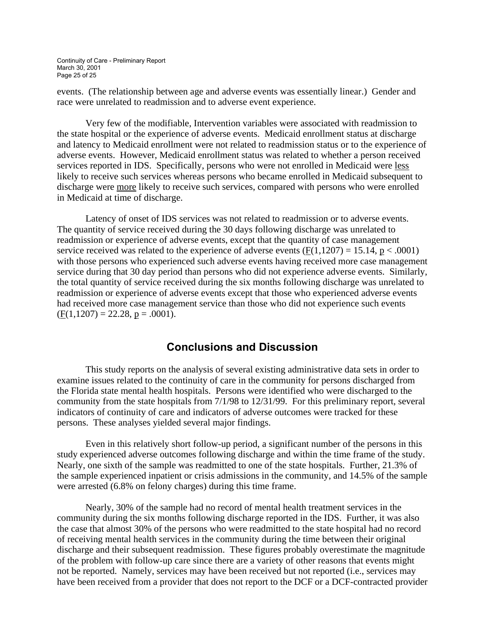Continuity of Care - Preliminary Report March 30, 2001 Page 25 of 25

events. (The relationship between age and adverse events was essentially linear.) Gender and race were unrelated to readmission and to adverse event experience.

 Very few of the modifiable, Intervention variables were associated with readmission to the state hospital or the experience of adverse events. Medicaid enrollment status at discharge and latency to Medicaid enrollment were not related to readmission status or to the experience of adverse events. However, Medicaid enrollment status was related to whether a person received services reported in IDS. Specifically, persons who were not enrolled in Medicaid were less likely to receive such services whereas persons who became enrolled in Medicaid subsequent to discharge were more likely to receive such services, compared with persons who were enrolled in Medicaid at time of discharge.

 Latency of onset of IDS services was not related to readmission or to adverse events. The quantity of service received during the 30 days following discharge was unrelated to readmission or experience of adverse events, except that the quantity of case management service received was related to the experience of adverse events  $(F(1,1207) = 15.14, p < .0001)$ with those persons who experienced such adverse events having received more case management service during that 30 day period than persons who did not experience adverse events. Similarly, the total quantity of service received during the six months following discharge was unrelated to readmission or experience of adverse events except that those who experienced adverse events had received more case management service than those who did not experience such events  $(F(1,1207) = 22.28, p = .0001).$ 

### **Conclusions and Discussion**

 This study reports on the analysis of several existing administrative data sets in order to examine issues related to the continuity of care in the community for persons discharged from the Florida state mental health hospitals. Persons were identified who were discharged to the community from the state hospitals from 7/1/98 to 12/31/99. For this preliminary report, several indicators of continuity of care and indicators of adverse outcomes were tracked for these persons. These analyses yielded several major findings.

 Even in this relatively short follow-up period, a significant number of the persons in this study experienced adverse outcomes following discharge and within the time frame of the study. Nearly, one sixth of the sample was readmitted to one of the state hospitals. Further, 21.3% of the sample experienced inpatient or crisis admissions in the community, and 14.5% of the sample were arrested (6.8% on felony charges) during this time frame.

 Nearly, 30% of the sample had no record of mental health treatment services in the community during the six months following discharge reported in the IDS. Further, it was also the case that almost 30% of the persons who were readmitted to the state hospital had no record of receiving mental health services in the community during the time between their original discharge and their subsequent readmission. These figures probably overestimate the magnitude of the problem with follow-up care since there are a variety of other reasons that events might not be reported. Namely, services may have been received but not reported (i.e., services may have been received from a provider that does not report to the DCF or a DCF-contracted provider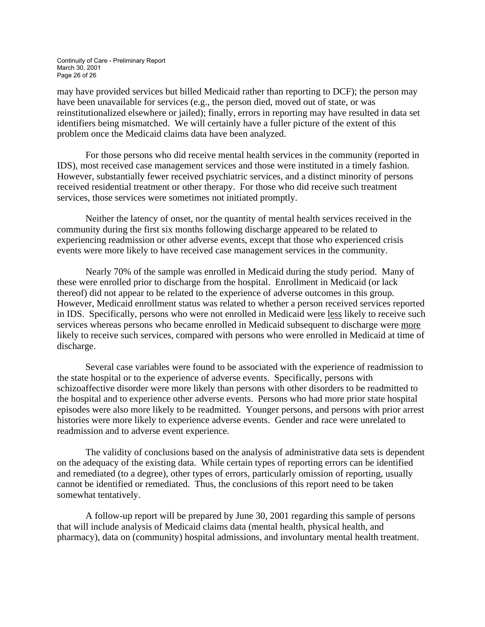Continuity of Care - Preliminary Report March 30, 2001 Page 26 of 26

may have provided services but billed Medicaid rather than reporting to DCF); the person may have been unavailable for services (e.g., the person died, moved out of state, or was reinstitutionalized elsewhere or jailed); finally, errors in reporting may have resulted in data set identifiers being mismatched. We will certainly have a fuller picture of the extent of this problem once the Medicaid claims data have been analyzed.

 For those persons who did receive mental health services in the community (reported in IDS), most received case management services and those were instituted in a timely fashion. However, substantially fewer received psychiatric services, and a distinct minority of persons received residential treatment or other therapy. For those who did receive such treatment services, those services were sometimes not initiated promptly.

 Neither the latency of onset, nor the quantity of mental health services received in the community during the first six months following discharge appeared to be related to experiencing readmission or other adverse events, except that those who experienced crisis events were more likely to have received case management services in the community.

 Nearly 70% of the sample was enrolled in Medicaid during the study period. Many of these were enrolled prior to discharge from the hospital. Enrollment in Medicaid (or lack thereof) did not appear to be related to the experience of adverse outcomes in this group. However, Medicaid enrollment status was related to whether a person received services reported in IDS. Specifically, persons who were not enrolled in Medicaid were less likely to receive such services whereas persons who became enrolled in Medicaid subsequent to discharge were more likely to receive such services, compared with persons who were enrolled in Medicaid at time of discharge.

 Several case variables were found to be associated with the experience of readmission to the state hospital or to the experience of adverse events. Specifically, persons with schizoaffective disorder were more likely than persons with other disorders to be readmitted to the hospital and to experience other adverse events. Persons who had more prior state hospital episodes were also more likely to be readmitted. Younger persons, and persons with prior arrest histories were more likely to experience adverse events. Gender and race were unrelated to readmission and to adverse event experience.

The validity of conclusions based on the analysis of administrative data sets is dependent on the adequacy of the existing data. While certain types of reporting errors can be identified and remediated (to a degree), other types of errors, particularly omission of reporting, usually cannot be identified or remediated. Thus, the conclusions of this report need to be taken somewhat tentatively.

 A follow-up report will be prepared by June 30, 2001 regarding this sample of persons that will include analysis of Medicaid claims data (mental health, physical health, and pharmacy), data on (community) hospital admissions, and involuntary mental health treatment.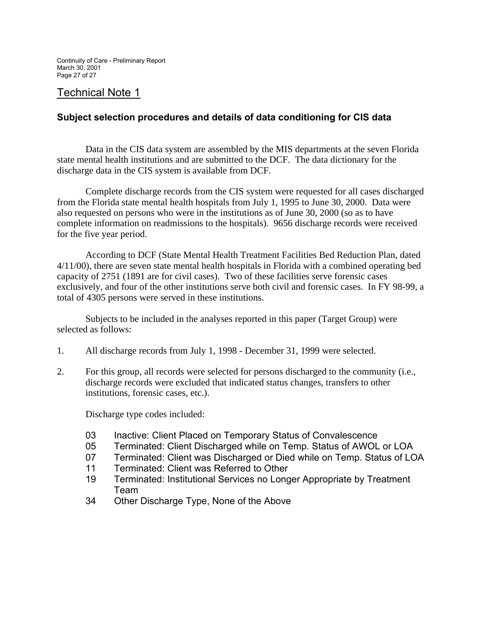# Technical Note 1

### **Subject selection procedures and details of data conditioning for CIS data**

 Data in the CIS data system are assembled by the MIS departments at the seven Florida state mental health institutions and are submitted to the DCF. The data dictionary for the discharge data in the CIS system is available from DCF.

 Complete discharge records from the CIS system were requested for all cases discharged from the Florida state mental health hospitals from July 1, 1995 to June 30, 2000. Data were also requested on persons who were in the institutions as of June 30, 2000 (so as to have complete information on readmissions to the hospitals). 9656 discharge records were received for the five year period.

 According to DCF (State Mental Health Treatment Facilities Bed Reduction Plan, dated 4/11/00), there are seven state mental health hospitals in Florida with a combined operating bed capacity of 2751 (1891 are for civil cases). Two of these facilities serve forensic cases exclusively, and four of the other institutions serve both civil and forensic cases. In FY 98-99, a total of 4305 persons were served in these institutions.

 Subjects to be included in the analyses reported in this paper (Target Group) were selected as follows:

- 1. All discharge records from July 1, 1998 December 31, 1999 were selected.
- 2. For this group, all records were selected for persons discharged to the community (i.e., discharge records were excluded that indicated status changes, transfers to other institutions, forensic cases, etc.).

Discharge type codes included:

- 03 Inactive: Client Placed on Temporary Status of Convalescence
- 05 Terminated: Client Discharged while on Temp. Status of AWOL or LOA
- 07 Terminated: Client was Discharged or Died while on Temp. Status of LOA
- 11 Terminated: Client was Referred to Other
- 19 Terminated: Institutional Services no Longer Appropriate by Treatment Team
- 34 Other Discharge Type, None of the Above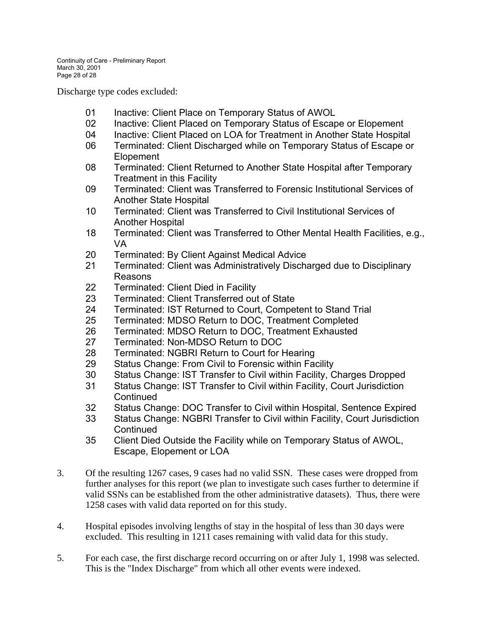Discharge type codes excluded:

- 01 Inactive: Client Place on Temporary Status of AWOL
- 02 Inactive: Client Placed on Temporary Status of Escape or Elopement
- 04 Inactive: Client Placed on LOA for Treatment in Another State Hospital
- 06 Terminated: Client Discharged while on Temporary Status of Escape or Elopement
- 08 Terminated: Client Returned to Another State Hospital after Temporary Treatment in this Facility
- 09 Terminated: Client was Transferred to Forensic Institutional Services of Another State Hospital
- 10 Terminated: Client was Transferred to Civil Institutional Services of Another Hospital
- 18 Terminated: Client was Transferred to Other Mental Health Facilities, e.g., VA
- 20 Terminated: By Client Against Medical Advice
- 21 Terminated: Client was Administratively Discharged due to Disciplinary Reasons
- 22 Terminated: Client Died in Facility
- 23 Terminated: Client Transferred out of State
- 24 Terminated: IST Returned to Court, Competent to Stand Trial
- 25 Terminated: MDSO Return to DOC, Treatment Completed
- 26 Terminated: MDSO Return to DOC, Treatment Exhausted
- 27 Terminated: Non-MDSO Return to DOC
- 28 Terminated: NGBRI Return to Court for Hearing
- 29 Status Change: From Civil to Forensic within Facility
- 30 Status Change: IST Transfer to Civil within Facility, Charges Dropped
- 31 Status Change: IST Transfer to Civil within Facility, Court Jurisdiction **Continued**
- 32 Status Change: DOC Transfer to Civil within Hospital, Sentence Expired
- 33 Status Change: NGBRI Transfer to Civil within Facility, Court Jurisdiction **Continued**
- 35 Client Died Outside the Facility while on Temporary Status of AWOL, Escape, Elopement or LOA
- 3. Of the resulting 1267 cases, 9 cases had no valid SSN. These cases were dropped from further analyses for this report (we plan to investigate such cases further to determine if valid SSNs can be established from the other administrative datasets). Thus, there were 1258 cases with valid data reported on for this study.
- 4. Hospital episodes involving lengths of stay in the hospital of less than 30 days were excluded. This resulting in 1211 cases remaining with valid data for this study.
- 5. For each case, the first discharge record occurring on or after July 1, 1998 was selected. This is the "Index Discharge" from which all other events were indexed.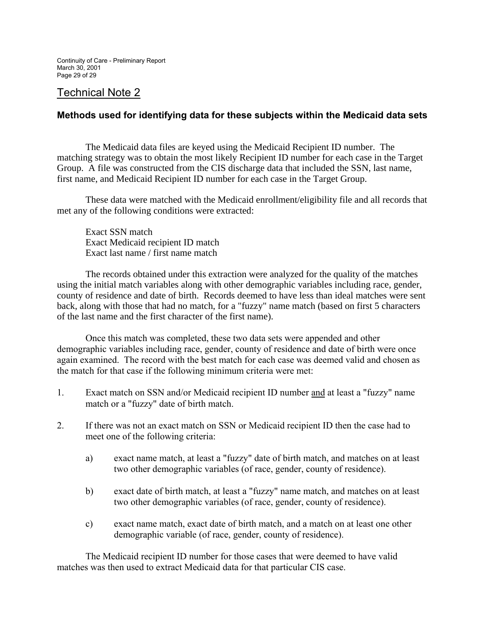# Technical Note 2

### **Methods used for identifying data for these subjects within the Medicaid data sets**

 The Medicaid data files are keyed using the Medicaid Recipient ID number. The matching strategy was to obtain the most likely Recipient ID number for each case in the Target Group. A file was constructed from the CIS discharge data that included the SSN, last name, first name, and Medicaid Recipient ID number for each case in the Target Group.

 These data were matched with the Medicaid enrollment/eligibility file and all records that met any of the following conditions were extracted:

 Exact SSN match Exact Medicaid recipient ID match Exact last name / first name match

 The records obtained under this extraction were analyzed for the quality of the matches using the initial match variables along with other demographic variables including race, gender, county of residence and date of birth. Records deemed to have less than ideal matches were sent back, along with those that had no match, for a "fuzzy" name match (based on first 5 characters of the last name and the first character of the first name).

 Once this match was completed, these two data sets were appended and other demographic variables including race, gender, county of residence and date of birth were once again examined. The record with the best match for each case was deemed valid and chosen as the match for that case if the following minimum criteria were met:

- 1. Exact match on SSN and/or Medicaid recipient ID number and at least a "fuzzy" name match or a "fuzzy" date of birth match.
- 2. If there was not an exact match on SSN or Medicaid recipient ID then the case had to meet one of the following criteria:
	- a) exact name match, at least a "fuzzy" date of birth match, and matches on at least two other demographic variables (of race, gender, county of residence).
	- b) exact date of birth match, at least a "fuzzy" name match, and matches on at least two other demographic variables (of race, gender, county of residence).
	- c) exact name match, exact date of birth match, and a match on at least one other demographic variable (of race, gender, county of residence).

 The Medicaid recipient ID number for those cases that were deemed to have valid matches was then used to extract Medicaid data for that particular CIS case.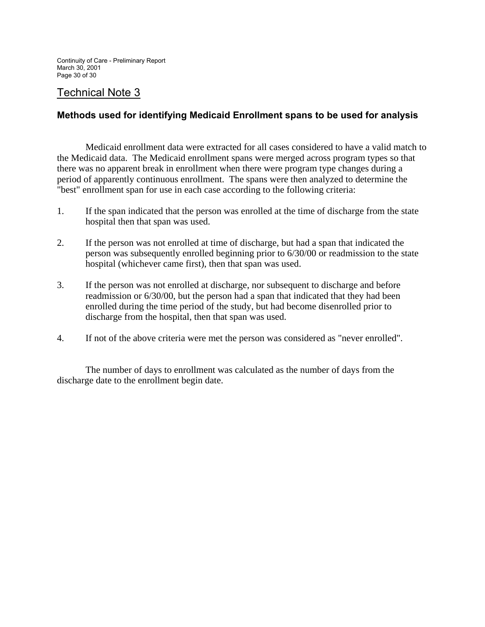# Technical Note 3

### **Methods used for identifying Medicaid Enrollment spans to be used for analysis**

 Medicaid enrollment data were extracted for all cases considered to have a valid match to the Medicaid data. The Medicaid enrollment spans were merged across program types so that there was no apparent break in enrollment when there were program type changes during a period of apparently continuous enrollment. The spans were then analyzed to determine the "best" enrollment span for use in each case according to the following criteria:

- 1. If the span indicated that the person was enrolled at the time of discharge from the state hospital then that span was used.
- 2. If the person was not enrolled at time of discharge, but had a span that indicated the person was subsequently enrolled beginning prior to 6/30/00 or readmission to the state hospital (whichever came first), then that span was used.
- 3. If the person was not enrolled at discharge, nor subsequent to discharge and before readmission or 6/30/00, but the person had a span that indicated that they had been enrolled during the time period of the study, but had become disenrolled prior to discharge from the hospital, then that span was used.
- 4. If not of the above criteria were met the person was considered as "never enrolled".

 The number of days to enrollment was calculated as the number of days from the discharge date to the enrollment begin date.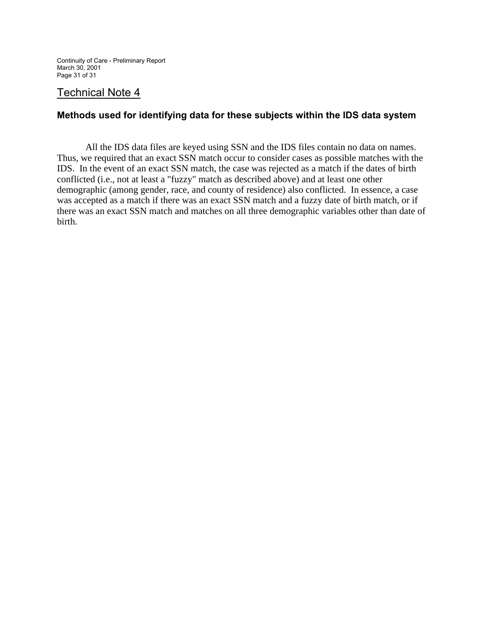Continuity of Care - Preliminary Report March 30, 2001 Page 31 of 31

# Technical Note 4

### **Methods used for identifying data for these subjects within the IDS data system**

 All the IDS data files are keyed using SSN and the IDS files contain no data on names. Thus, we required that an exact SSN match occur to consider cases as possible matches with the IDS. In the event of an exact SSN match, the case was rejected as a match if the dates of birth conflicted (i.e., not at least a "fuzzy" match as described above) and at least one other demographic (among gender, race, and county of residence) also conflicted. In essence, a case was accepted as a match if there was an exact SSN match and a fuzzy date of birth match, or if there was an exact SSN match and matches on all three demographic variables other than date of birth.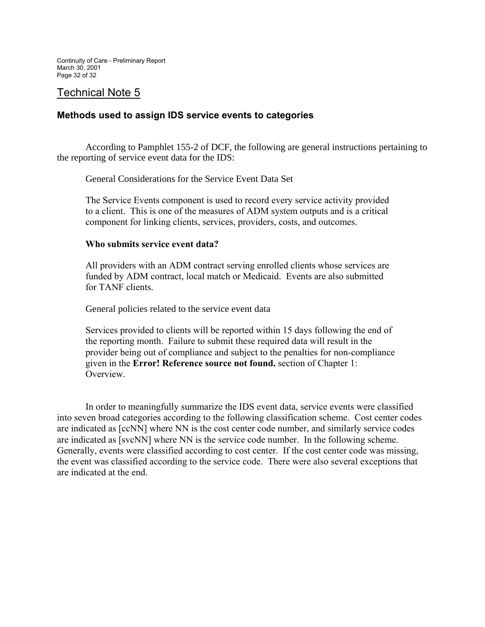# Technical Note 5

### **Methods used to assign IDS service events to categories**

 According to Pamphlet 155-2 of DCF, the following are general instructions pertaining to the reporting of service event data for the IDS:

General Considerations for the Service Event Data Set

The Service Events component is used to record every service activity provided to a client. This is one of the measures of ADM system outputs and is a critical component for linking clients, services, providers, costs, and outcomes.

#### **Who submits service event data?**

All providers with an ADM contract serving enrolled clients whose services are funded by ADM contract, local match or Medicaid. Events are also submitted for TANF clients.

General policies related to the service event data

Services provided to clients will be reported within 15 days following the end of the reporting month. Failure to submit these required data will result in the provider being out of compliance and subject to the penalties for non-compliance given in the **Error! Reference source not found.** section of Chapter 1: Overview.

 In order to meaningfully summarize the IDS event data, service events were classified into seven broad categories according to the following classification scheme. Cost center codes are indicated as [ccNN] where NN is the cost center code number, and similarly service codes are indicated as [svcNN] where NN is the service code number. In the following scheme. Generally, events were classified according to cost center. If the cost center code was missing, the event was classified according to the service code. There were also several exceptions that are indicated at the end.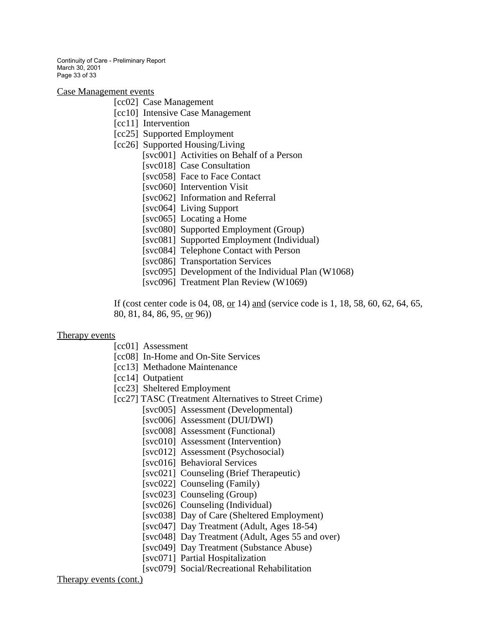Continuity of Care - Preliminary Report March 30, 2001 Page 33 of 33

Case Management events

- [cc02] Case Management
- [cc10] Intensive Case Management
- [cc11] Intervention
- [cc25] Supported Employment
- [cc26] Supported Housing/Living
	- [svc001] Activities on Behalf of a Person
	- [svc018] Case Consultation
	- [svc058] Face to Face Contact
	- [svc060] Intervention Visit
	- [svc062] Information and Referral
	- [svc064] Living Support
	- [svc065] Locating a Home
	- [svc080] Supported Employment (Group)
	- [svc081] Supported Employment (Individual)
	- [svc084] Telephone Contact with Person
	- [svc086] Transportation Services
	- [svc095] Development of the Individual Plan (W1068)
	- [svc096] Treatment Plan Review (W1069)

If (cost center code is 04, 08, or 14) and (service code is 1, 18, 58, 60, 62, 64, 65, 80, 81, 84, 86, 95, or 96))

#### Therapy events

- [cc01] Assessment
- [cc08] In-Home and On-Site Services
- [cc13] Methadone Maintenance
- [cc14] Outpatient
- [cc23] Sheltered Employment
- [cc27] TASC (Treatment Alternatives to Street Crime)
	- [svc005] Assessment (Developmental)
	- [svc006] Assessment (DUI/DWI)
	- [svc008] Assessment (Functional)
	- [svc010] Assessment (Intervention)
	- [svc012] Assessment (Psychosocial)
	- [svc016] Behavioral Services
	- [svc021] Counseling (Brief Therapeutic)
	- [svc022] Counseling (Family)
	- [svc023] Counseling (Group)
	- [svc026] Counseling (Individual)
	- [svc038] Day of Care (Sheltered Employment)
	- [svc047] Day Treatment (Adult, Ages 18-54)
	- [svc048] Day Treatment (Adult, Ages 55 and over)
	- [svc049] Day Treatment (Substance Abuse)
	- [svc071] Partial Hospitalization
	- [svc079] Social/Recreational Rehabilitation

Therapy events (cont.)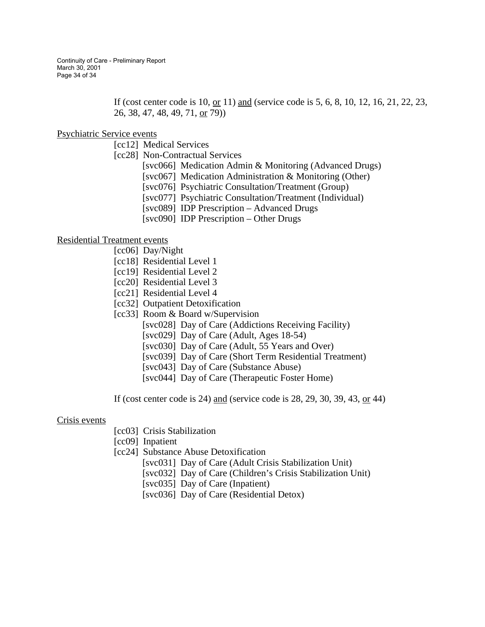Continuity of Care - Preliminary Report March 30, 2001 Page 34 of 34

> If (cost center code is 10, or 11) and (service code is 5, 6, 8, 10, 12, 16, 21, 22, 23, 26, 38, 47, 48, 49, 71, or 79))

#### Psychiatric Service events

[cc12] Medical Services

- [cc28] Non-Contractual Services
	- [svc066] Medication Admin & Monitoring (Advanced Drugs)
	- [svc067] Medication Administration & Monitoring (Other)
	- [svc076] Psychiatric Consultation/Treatment (Group)
	- [svc077] Psychiatric Consultation/Treatment (Individual)
	- [svc089] IDP Prescription Advanced Drugs
	- [svc090] IDP Prescription Other Drugs

#### Residential Treatment events

- [cc06] Day/Night
- [cc18] Residential Level 1
- [cc19] Residential Level 2
- [cc20] Residential Level 3
- [cc21] Residential Level 4
- [cc32] Outpatient Detoxification
- [cc33] Room & Board w/Supervision
	- [svc028] Day of Care (Addictions Receiving Facility)
	- [svc029] Day of Care (Adult, Ages 18-54)
	- [svc030] Day of Care (Adult, 55 Years and Over)
	- [svc039] Day of Care (Short Term Residential Treatment)
	- [svc043] Day of Care (Substance Abuse)
	- [svc044] Day of Care (Therapeutic Foster Home)
- If (cost center code is 24) and (service code is 28, 29, 30, 39, 43, or 44)

#### Crisis events

[cc03] Crisis Stabilization

[cc09] Inpatient

- [cc24] Substance Abuse Detoxification
	- [svc031] Day of Care (Adult Crisis Stabilization Unit)
	- [svc032] Day of Care (Children's Crisis Stabilization Unit)
	- [svc035] Day of Care (Inpatient)
	- [svc036] Day of Care (Residential Detox)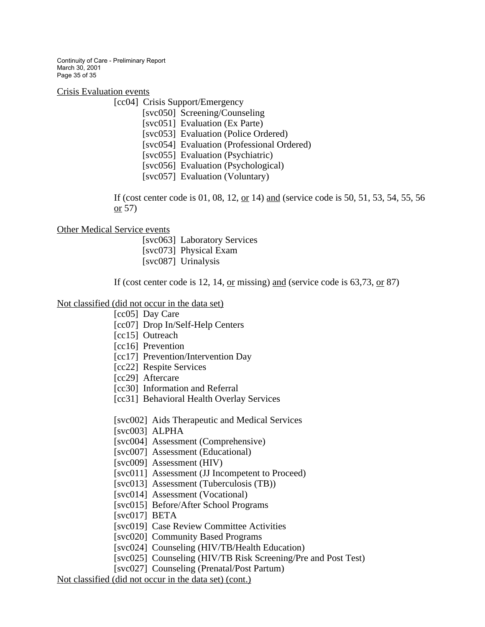Continuity of Care - Preliminary Report March 30, 2001 Page 35 of 35

Crisis Evaluation events

[cc04] Crisis Support/Emergency

[svc050] Screening/Counseling [svc051] Evaluation (Ex Parte) [svc053] Evaluation (Police Ordered) [svc054] Evaluation (Professional Ordered) [svc055] Evaluation (Psychiatric) [svc056] Evaluation (Psychological)

[svc057] Evaluation (Voluntary)

If (cost center code is 01, 08, 12, or 14) and (service code is 50, 51, 53, 54, 55, 56 or 57)

#### Other Medical Service events

 [svc063] Laboratory Services [svc073] Physical Exam [svc087] Urinalysis

If (cost center code is 12, 14, <u>or</u> missing) and (service code is  $63,73,$  or  $87$ )

Not classified (did not occur in the data set)

[cc05] Day Care

[cc07] Drop In/Self-Help Centers

[cc15] Outreach

[cc16] Prevention

[cc17] Prevention/Intervention Day

[cc22] Respite Services

[cc29] Aftercare

[cc30] Information and Referral

[cc31] Behavioral Health Overlay Services

[svc002] Aids Therapeutic and Medical Services

[svc003] ALPHA

[svc004] Assessment (Comprehensive)

[svc007] Assessment (Educational)

[svc009] Assessment (HIV)

[svc011] Assessment (JJ Incompetent to Proceed)

[svc013] Assessment (Tuberculosis (TB))

[svc014] Assessment (Vocational)

[svc015] Before/After School Programs

[svc017] BETA

[svc019] Case Review Committee Activities

[svc020] Community Based Programs

[svc024] Counseling (HIV/TB/Health Education)

[svc025] Counseling (HIV/TB Risk Screening/Pre and Post Test)

[svc027] Counseling (Prenatal/Post Partum)

Not classified (did not occur in the data set) (cont.)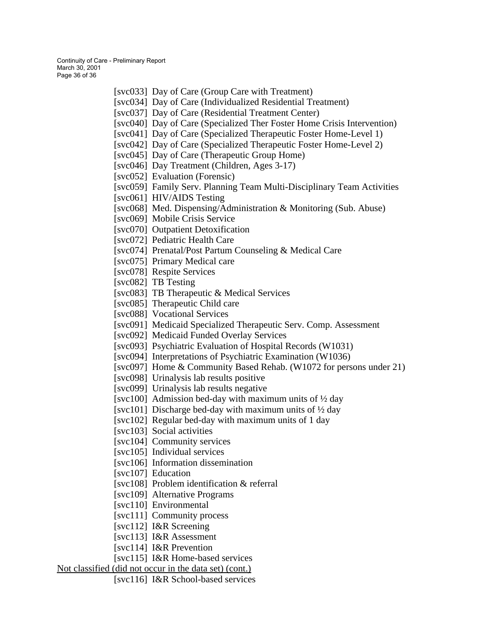Continuity of Care - Preliminary Report March 30, 2001 Page 36 of 36

- [svc033] Day of Care (Group Care with Treatment) [svc034] Day of Care (Individualized Residential Treatment)
- 
- [svc037] Day of Care (Residential Treatment Center)
- [svc040] Day of Care (Specialized Ther Foster Home Crisis Intervention)
- [svc041] Day of Care (Specialized Therapeutic Foster Home-Level 1)
- [svc042] Day of Care (Specialized Therapeutic Foster Home-Level 2)
- [svc045] Day of Care (Therapeutic Group Home)
- [svc046] Day Treatment (Children, Ages 3-17)
- [svc052] Evaluation (Forensic)
- [svc059] Family Serv. Planning Team Multi-Disciplinary Team Activities
- [svc061] HIV/AIDS Testing
- [svc068] Med. Dispensing/Administration & Monitoring (Sub. Abuse)
- [svc069] Mobile Crisis Service
- [svc070] Outpatient Detoxification
- [svc072] Pediatric Health Care
- [svc074] Prenatal/Post Partum Counseling & Medical Care
- [svc075] Primary Medical care
- [svc078] Respite Services
- [svc082] TB Testing
- [svc083] TB Therapeutic & Medical Services
- [svc085] Therapeutic Child care
- [svc088] Vocational Services
- [svc091] Medicaid Specialized Therapeutic Serv. Comp. Assessment
- [svc092] Medicaid Funded Overlay Services
- [svc093] Psychiatric Evaluation of Hospital Records (W1031)
- [svc094] Interpretations of Psychiatric Examination (W1036)
- [svc097] Home & Community Based Rehab. (W1072 for persons under 21)
- [svc098] Urinalysis lab results positive
- [svc099] Urinalysis lab results negative
- [svc100] Admission bed-day with maximum units of  $\frac{1}{2}$  day
- [svc101] Discharge bed-day with maximum units of  $\frac{1}{2}$  day
- [svc102] Regular bed-day with maximum units of 1 day
- [svc103] Social activities
- [svc104] Community services
- [svc105] Individual services
- [svc106] Information dissemination
- [svc107] Education
- [svc108] Problem identification & referral
- [svc109] Alternative Programs
- [svc110] Environmental
- [svc111] Community process
- [svc112] I&R Screening
- [svc113] I&R Assessment
- [svc114] I&R Prevention
- [svc115] I&R Home-based services

### Not classified (did not occur in the data set) (cont.)

[svc116] I&R School-based services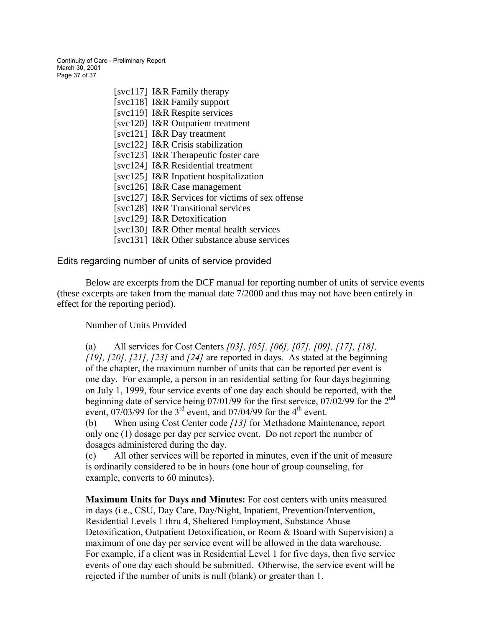Continuity of Care - Preliminary Report March 30, 2001 Page 37 of 37

- [svc117] I&R Family therapy [svc118] I&R Family support [svc119] I&R Respite services [svc120] I&R Outpatient treatment [svc121] I&R Day treatment [svc122] I&R Crisis stabilization [svc123] I&R Therapeutic foster care [svc124] I&R Residential treatment [svc125] I&R Inpatient hospitalization [svc126] I&R Case management [svc127] I&R Services for victims of sex offense [svc128] I&R Transitional services [svc129] I&R Detoxification [svc130] I&R Other mental health services
- [svc131] I&R Other substance abuse services

Edits regarding number of units of service provided

 Below are excerpts from the DCF manual for reporting number of units of service events (these excerpts are taken from the manual date 7/2000 and thus may not have been entirely in effect for the reporting period).

#### Number of Units Provided

(a) All services for Cost Centers *[03], [05], [06], [07], [09], [17], [18], [19], [20], [21], [23]* and *[24]* are reported in days. As stated at the beginning of the chapter, the maximum number of units that can be reported per event is one day. For example, a person in an residential setting for four days beginning on July 1, 1999, four service events of one day each should be reported, with the beginning date of service being  $07/01/99$  for the first service,  $07/02/99$  for the  $2<sup>nd</sup>$ event,  $07/03/99$  for the 3<sup>rd</sup> event, and  $07/04/99$  for the 4<sup>th</sup> event.

(b) When using Cost Center code *[13]* for Methadone Maintenance, report only one (1) dosage per day per service event. Do not report the number of dosages administered during the day.

(c) All other services will be reported in minutes, even if the unit of measure is ordinarily considered to be in hours (one hour of group counseling, for example, converts to 60 minutes).

**Maximum Units for Days and Minutes:** For cost centers with units measured in days (i.e., CSU, Day Care, Day/Night, Inpatient, Prevention/Intervention, Residential Levels 1 thru 4, Sheltered Employment, Substance Abuse Detoxification, Outpatient Detoxification, or Room & Board with Supervision) a maximum of one day per service event will be allowed in the data warehouse. For example, if a client was in Residential Level 1 for five days, then five service events of one day each should be submitted. Otherwise, the service event will be rejected if the number of units is null (blank) or greater than 1.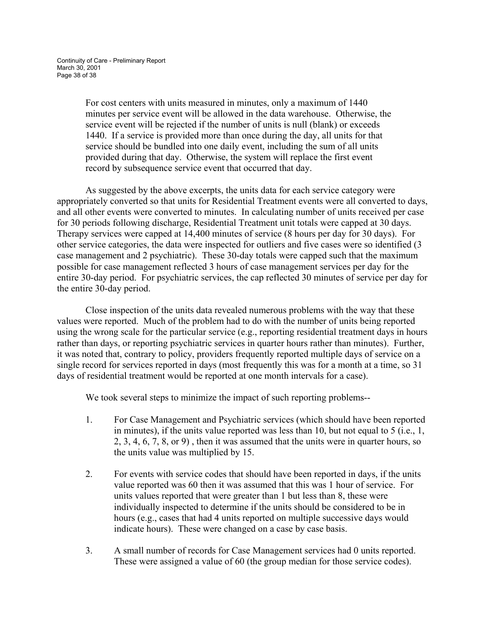For cost centers with units measured in minutes, only a maximum of 1440 minutes per service event will be allowed in the data warehouse. Otherwise, the service event will be rejected if the number of units is null (blank) or exceeds 1440. If a service is provided more than once during the day, all units for that service should be bundled into one daily event, including the sum of all units provided during that day. Otherwise, the system will replace the first event record by subsequence service event that occurred that day.

 As suggested by the above excerpts, the units data for each service category were appropriately converted so that units for Residential Treatment events were all converted to days, and all other events were converted to minutes. In calculating number of units received per case for 30 periods following discharge, Residential Treatment unit totals were capped at 30 days. Therapy services were capped at 14,400 minutes of service (8 hours per day for 30 days). For other service categories, the data were inspected for outliers and five cases were so identified (3 case management and 2 psychiatric). These 30-day totals were capped such that the maximum possible for case management reflected 3 hours of case management services per day for the entire 30-day period. For psychiatric services, the cap reflected 30 minutes of service per day for the entire 30-day period.

 Close inspection of the units data revealed numerous problems with the way that these values were reported. Much of the problem had to do with the number of units being reported using the wrong scale for the particular service (e.g., reporting residential treatment days in hours rather than days, or reporting psychiatric services in quarter hours rather than minutes). Further, it was noted that, contrary to policy, providers frequently reported multiple days of service on a single record for services reported in days (most frequently this was for a month at a time, so 31 days of residential treatment would be reported at one month intervals for a case).

We took several steps to minimize the impact of such reporting problems--

- 1. For Case Management and Psychiatric services (which should have been reported in minutes), if the units value reported was less than 10, but not equal to 5 (i.e., 1, 2, 3, 4, 6, 7, 8, or 9) , then it was assumed that the units were in quarter hours, so the units value was multiplied by 15.
- 2. For events with service codes that should have been reported in days, if the units value reported was 60 then it was assumed that this was 1 hour of service. For units values reported that were greater than 1 but less than 8, these were individually inspected to determine if the units should be considered to be in hours (e.g., cases that had 4 units reported on multiple successive days would indicate hours). These were changed on a case by case basis.
- 3. A small number of records for Case Management services had 0 units reported. These were assigned a value of 60 (the group median for those service codes).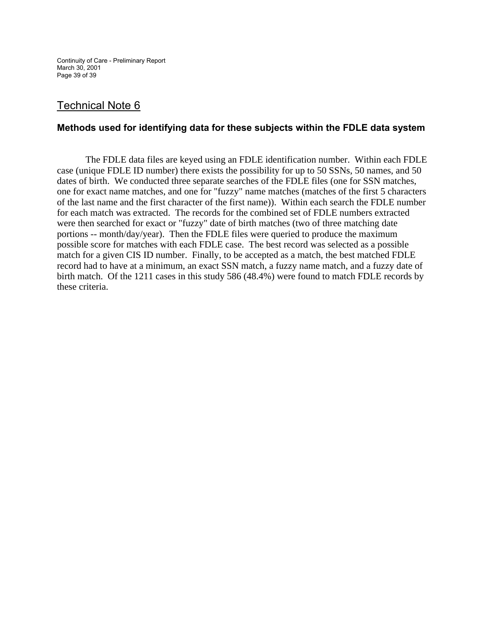Continuity of Care - Preliminary Report March 30, 2001 Page 39 of 39

# Technical Note 6

### **Methods used for identifying data for these subjects within the FDLE data system**

The FDLE data files are keyed using an FDLE identification number. Within each FDLE case (unique FDLE ID number) there exists the possibility for up to 50 SSNs, 50 names, and 50 dates of birth. We conducted three separate searches of the FDLE files (one for SSN matches, one for exact name matches, and one for "fuzzy" name matches (matches of the first 5 characters of the last name and the first character of the first name)). Within each search the FDLE number for each match was extracted. The records for the combined set of FDLE numbers extracted were then searched for exact or "fuzzy" date of birth matches (two of three matching date portions -- month/day/year). Then the FDLE files were queried to produce the maximum possible score for matches with each FDLE case. The best record was selected as a possible match for a given CIS ID number. Finally, to be accepted as a match, the best matched FDLE record had to have at a minimum, an exact SSN match, a fuzzy name match, and a fuzzy date of birth match. Of the 1211 cases in this study 586 (48.4%) were found to match FDLE records by these criteria.